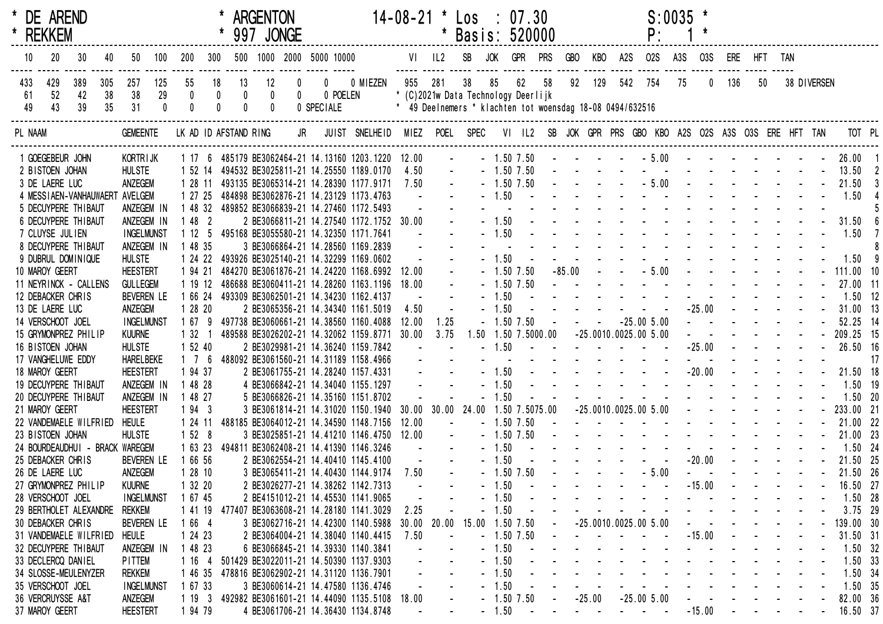| * DE AREND<br>* REKKEM |           |                          |           |                                 |              |                     |                 |                       | <b>ARGENTON</b><br>997 JONGE |                            |                                                     |                | $14-08-21$ * $\text{Los}$ : 07.30 | $\star$    | Basis: 520000                                             |            |              |                     |                                                           |          |     | P:                                                                                                              | $S:0035$ *       |            |                                                                                                                                                                                                                                                                                                                                                                                                                              |            |                                      |             |            |     |
|------------------------|-----------|--------------------------|-----------|---------------------------------|--------------|---------------------|-----------------|-----------------------|------------------------------|----------------------------|-----------------------------------------------------|----------------|-----------------------------------|------------|-----------------------------------------------------------|------------|--------------|---------------------|-----------------------------------------------------------|----------|-----|-----------------------------------------------------------------------------------------------------------------|------------------|------------|------------------------------------------------------------------------------------------------------------------------------------------------------------------------------------------------------------------------------------------------------------------------------------------------------------------------------------------------------------------------------------------------------------------------------|------------|--------------------------------------|-------------|------------|-----|
| 10                     | 20        | 30                       | 40        | 50                              | 100          | 200                 | 300             |                       |                              |                            | 500 1000 2000 5000 10000                            |                |                                   | VI IL2     | SB                                                        | <b>JOK</b> | GPR          | <b>PRS</b>          | GBO                                                       | KBO      | A2S | <b>02S</b>                                                                                                      | A <sub>3</sub> S | <b>03S</b> | ERE                                                                                                                                                                                                                                                                                                                                                                                                                          |            | HFT TAN                              |             |            |     |
| 433<br>61              | 429<br>52 | 389<br>42                | 305<br>38 | 257<br>38                       | 125<br>29    | 55                  | 18<br>$\pmb{0}$ | 13<br>0               | 12<br>0                      | $\mathbf 0$<br>$\mathbf 0$ | 0<br>0 POELEN                                       | 0 MIEZEN       | 955                               | 281        | 38<br>* (C)2021w Data Technology Deerlijk                 | 85         | 62           | 58                  | 92                                                        | 129      | 542 | 754                                                                                                             | 75               | 0          | 136                                                                                                                                                                                                                                                                                                                                                                                                                          | 50         |                                      | 38 DIVERSEN |            |     |
| 49                     | 43        | 39                       | 35        | 31                              | $\mathbf{0}$ |                     | $\mathbf 0$     |                       | $\pmb{0}$                    |                            | 0 SPECIALE                                          |                |                                   |            | * 49 Deelnemers * klachten tot woensdag 18-08 0494/632516 |            |              |                     |                                                           |          |     |                                                                                                                 |                  |            |                                                                                                                                                                                                                                                                                                                                                                                                                              |            |                                      |             |            |     |
| PL NAAM                |           |                          |           | <b>GEMEENTE</b>                 |              |                     |                 | LK AD ID AFSTAND RING |                              | JR                         |                                                     | JUIST SNELHEID |                                   |            | MIEZ POEL SPEC                                            |            |              |                     |                                                           |          |     | VI IL2 SB JOK GPR PRS GBO KBO A2S O2S A3S O3S ERE HFT TAN                                                       |                  |            |                                                                                                                                                                                                                                                                                                                                                                                                                              |            |                                      |             | TOT PL     |     |
|                        |           | 1 GOEGEBEUR JOHN         |           | KORTR I JK                      |              |                     |                 |                       |                              |                            | 1 17 6 485179 BE3062464-21 14.13160 1203.1220 12.00 |                |                                   | $\sim 100$ |                                                           |            | $-1.50$ 7.50 |                     |                                                           |          |     |                                                                                                                 |                  |            |                                                                                                                                                                                                                                                                                                                                                                                                                              |            |                                      |             | $26.00$ 1  |     |
| 2 BISTOEN JOHAN        |           |                          |           | <b>HULSTE</b>                   |              |                     |                 |                       |                              |                            | 1 52 14 494532 BE3025811-21 14.25550 1189.0170      |                | 4.50                              |            |                                                           |            | $-1.50$ 7.50 |                     |                                                           |          |     | the contract of the contract of the contract of                                                                 |                  |            |                                                                                                                                                                                                                                                                                                                                                                                                                              |            |                                      |             | 13.50      |     |
| 3 DE LAERE LUC         |           |                          |           | ANZEGEM                         |              | 1 28 11             |                 |                       |                              |                            | 493135 BE3065314-21 14.28390 1177.9171              |                | 7.50                              |            |                                                           |            | $-1.50$ 7.50 |                     |                                                           |          |     |                                                                                                                 |                  |            |                                                                                                                                                                                                                                                                                                                                                                                                                              |            |                                      |             | 21.50      |     |
|                        |           | 4 MESS I AEN-VANHAUWAERT |           | AVELGEM                         |              | 1 27 25             |                 |                       |                              |                            | 484898 BE3062876-21 14.23129 1173.4763              |                |                                   |            |                                                           | $-1.50$    |              |                     |                                                           |          |     | design and a state of the state of the                                                                          |                  |            |                                                                                                                                                                                                                                                                                                                                                                                                                              |            |                                      |             | 1.50       |     |
|                        |           | 5 DECUYPERE THIBAUT      |           | ANZEGEM IN                      |              | 1 48 32             |                 |                       |                              |                            | 489852 BE3066839-21 14.27460 1172.5493              |                |                                   |            |                                                           |            |              |                     |                                                           |          |     | and the state of the state of the state                                                                         |                  |            |                                                                                                                                                                                                                                                                                                                                                                                                                              |            |                                      |             |            |     |
|                        |           | 6 DECUYPERE THIBAUT      |           | ANZEGEM IN                      |              | 1482                |                 |                       |                              |                            | 2 BE3066811-21 14.27540 1172.1752 30.00             |                |                                   |            |                                                           | $-1.50$    |              |                     |                                                           |          |     | the contract of the contract of the contract of                                                                 |                  |            |                                                                                                                                                                                                                                                                                                                                                                                                                              |            |                                      |             | 31.50      |     |
| 7 CLUYSE JULIEN        |           |                          |           | <b>INGELMUNST</b>               |              | 1125                |                 |                       |                              |                            | 495168 BE3055580-21 14.32350 1171.7641              |                |                                   |            |                                                           | $-1.50$    |              |                     |                                                           |          |     | and the second contract of the second second                                                                    |                  |            |                                                                                                                                                                                                                                                                                                                                                                                                                              |            |                                      |             | 1.50       |     |
|                        |           | 8 DECUYPERE THIBAUT      |           | ANZEGEM IN                      |              | 1 48 35             |                 |                       |                              |                            | 3 BE3066864-21 14.28560 1169.2839                   |                |                                   |            |                                                           |            |              |                     |                                                           |          |     | and the state of the state of the state of the state of the state of the state of the state of the state of the |                  |            |                                                                                                                                                                                                                                                                                                                                                                                                                              |            |                                      |             |            |     |
|                        |           | 9 DUBRUL DOMINIQUE       |           | <b>HULSTE</b>                   |              | 1 24 22             |                 |                       |                              |                            | 493926 BE3025140-21 14.32299 1169.0602              |                |                                   |            |                                                           | $-1.50$    |              |                     |                                                           |          |     | and a state of the state of the                                                                                 |                  |            |                                                                                                                                                                                                                                                                                                                                                                                                                              |            |                                      |             | 1.50       |     |
| 10 MAROY GEERT         |           |                          |           | <b>HEESTERT</b>                 |              | 1 94 21             |                 |                       |                              |                            | 484270 BE3061876-21 14.24220 1168.6992              |                | 12.00                             |            |                                                           |            | $-1.50$ 7.50 |                     | $-85.00$                                                  |          |     | $-5.00$                                                                                                         |                  |            | the contract of the state of the state of the                                                                                                                                                                                                                                                                                                                                                                                |            |                                      |             | 111.00 10  |     |
|                        |           | 11 NEYRINCK - CALLENS    |           | <b>GULLEGEM</b>                 |              | 1 19 12             |                 |                       |                              |                            | 486688 BE3060411-21 14.28260 1163.1196              |                | 18.00                             |            |                                                           |            | $-1.50$ 7.50 |                     | $\mathbf{L}^{\text{max}}$ , and $\mathbf{L}^{\text{max}}$ |          |     | and the second contract of the second                                                                           |                  |            |                                                                                                                                                                                                                                                                                                                                                                                                                              |            |                                      |             | 27.00 11   |     |
|                        |           | 12 DEBACKER CHRIS        |           | <b>BEVEREN LE</b>               |              | 1 66 24             |                 |                       |                              |                            | 493309 BE3062501-21 14.34230 1162.4137              |                |                                   |            |                                                           | $-1.50$    |              |                     |                                                           |          |     |                                                                                                                 |                  |            |                                                                                                                                                                                                                                                                                                                                                                                                                              |            |                                      |             | $1.50$ 12  |     |
| 13 DE LAERE LUC        |           |                          |           | ANZEGEM                         |              | 1 28 20             |                 |                       |                              |                            | 2 BE3065356-21 14.34340 1161.5019                   |                | 4.50                              |            |                                                           | $-1.50$    |              |                     |                                                           |          |     |                                                                                                                 |                  |            | $-25.00$ - - -                                                                                                                                                                                                                                                                                                                                                                                                               |            |                                      |             | $31.00$ 13 |     |
| 14 VERSCHOOT JOEL      |           |                          |           | <b>INGELMUNST</b>               |              | 1 67 9              |                 |                       |                              |                            | 497738 BE3060661-21 14.38560 1160.4088              |                | 12.00                             | 1.25       |                                                           |            | $-1.50$ 7.50 |                     |                                                           |          |     | $-25.005.00$                                                                                                    |                  |            | $\mathbf{L}^{\text{max}}$ , and $\mathbf{L}^{\text{max}}$ , and $\mathbf{L}^{\text{max}}$                                                                                                                                                                                                                                                                                                                                    |            |                                      |             | 52.25 14   |     |
|                        |           | 15 GRYMONPREZ PHILIP     |           | <b>KUURNE</b>                   |              | 1 32                |                 |                       |                              |                            | 489588 BE3026202-21 14.32062 1159.8771              |                | 30.00                             | 3.75       |                                                           |            |              | 1.50 1.50 7.5000.00 |                                                           |          |     | $-25.0010.0025.005.00$                                                                                          |                  |            |                                                                                                                                                                                                                                                                                                                                                                                                                              |            |                                      |             | 209.25 15  |     |
| 16 BISTOEN JOHAN       |           |                          |           | <b>HULSTE</b>                   |              | 1 52 40             |                 |                       |                              |                            | 2 BE3029981-21 14.36240 1159.7842                   |                |                                   |            |                                                           | $-1.50$    |              |                     |                                                           |          |     |                                                                                                                 |                  | $-25.00$   |                                                                                                                                                                                                                                                                                                                                                                                                                              |            |                                      |             | 26.50 16   |     |
|                        |           | 17 VANGHELUWE EDDY       |           | <b>HARELBEKE</b>                |              | $1 \quad 7 \quad 6$ |                 |                       |                              |                            | 488092 BE3061560-21 14.31189 1158.4966              |                |                                   |            |                                                           |            |              |                     |                                                           |          |     | and the state of the state of the state of the state of the state of the state of the state of the state of the |                  |            |                                                                                                                                                                                                                                                                                                                                                                                                                              |            |                                      |             |            | -17 |
| 18 MAROY GEERT         |           |                          |           | <b>HEESTERT</b>                 |              | 1 94 37             |                 |                       |                              |                            | 2 BE3061755-21 14.28240 1157.4331                   |                |                                   |            |                                                           | $-1.50$    |              |                     |                                                           |          |     | the contract of the contract of                                                                                 |                  | $-20.00$   | $\Delta \phi = \Delta \phi$                                                                                                                                                                                                                                                                                                                                                                                                  |            | $\sim 10^7$                          |             | 21.50 18   |     |
|                        |           | 19 DECUYPERE THIBAUT     |           | ANZEGEM IN                      |              | 1 48 28             |                 |                       |                              |                            | 4 BE3066842-21 14.34040 1155.1297                   |                |                                   |            |                                                           | 1.50       |              |                     |                                                           |          |     | design and a state of the state of                                                                              |                  |            |                                                                                                                                                                                                                                                                                                                                                                                                                              |            |                                      |             | $1.50$ 19  |     |
|                        |           | 20 DECUYPERE THIBAUT     |           | ANZEGEM IN                      |              | 1 48 27             |                 |                       |                              |                            | 5 BE3066826-21 14.35160 1151.8702                   |                |                                   |            |                                                           | 1.50       |              |                     |                                                           |          |     | and a straight and a straight and                                                                               |                  |            |                                                                                                                                                                                                                                                                                                                                                                                                                              |            |                                      |             | $1.50$ 20  |     |
| 21 MAROY GEERT         |           |                          |           | <b>HEESTERT</b>                 |              | 1943                |                 |                       |                              |                            | 3 BE3061814-21 14.31020 1150.1940                   |                | $30.00$ $30.00$                   |            | 24.00                                                     |            |              | 1.50 7.5075.00      |                                                           |          |     | $-25.0010.0025.005.00$                                                                                          |                  |            | and a state of the state of the                                                                                                                                                                                                                                                                                                                                                                                              |            |                                      |             | 233.00 21  |     |
|                        |           | 22 VANDEMAELE WILFRIED   |           | <b>HEULE</b>                    |              | 1 24 11             |                 |                       |                              |                            | 488185 BE3064012-21 14.34590 1148.7156              |                | 12.00                             |            |                                                           |            | $-1.50$ 7.50 |                     |                                                           |          |     | design and a state of the state of the                                                                          |                  |            |                                                                                                                                                                                                                                                                                                                                                                                                                              |            |                                      |             | 21.00 22   |     |
| 23 BISTOEN JOHAN       |           |                          |           | <b>HULSTE</b>                   |              | 1528                |                 |                       |                              |                            | 3 BE3025851-21 14.41210 1146.4750                   |                | 12.00                             |            |                                                           |            | $-1.50$ 7.50 |                     |                                                           |          |     | and the second contract of the second second                                                                    |                  |            |                                                                                                                                                                                                                                                                                                                                                                                                                              |            |                                      |             | 21.00 23   |     |
|                        |           |                          |           | 24 BOURDEAUDHUI - BRACK WAREGEM |              | 1 63 23             |                 |                       |                              |                            | 494811 BE3062408-21 14.41390 1146.3246              |                |                                   |            |                                                           | $-1.50$    |              |                     |                                                           |          |     |                                                                                                                 |                  |            |                                                                                                                                                                                                                                                                                                                                                                                                                              |            |                                      |             | 1.50 24    |     |
|                        |           | 25 DEBACKER CHRIS        |           | <b>BEVEREN LE</b>               |              | 1 66 56             |                 |                       |                              |                            | 2 BE3062554-21 14.40410 1145.4100                   |                |                                   |            |                                                           | $-1.50$    |              |                     |                                                           |          |     |                                                                                                                 |                  |            | $-20.00$ - - - -                                                                                                                                                                                                                                                                                                                                                                                                             |            |                                      |             | 21.50 25   |     |
| 26 DE LAERE LUC        |           |                          |           | ANZEGEM                         |              | 12810               |                 |                       |                              |                            | 3 BE3065411-21 14.40430 1144.9174                   |                | 7.50                              |            |                                                           |            | $-1.50$ 7.50 |                     |                                                           |          |     | $-5.00$                                                                                                         |                  |            | $\mathbf{r} = \mathbf{r} + \mathbf{r} + \mathbf{r} + \mathbf{r} + \mathbf{r} + \mathbf{r} + \mathbf{r} + \mathbf{r} + \mathbf{r} + \mathbf{r} + \mathbf{r} + \mathbf{r} + \mathbf{r} + \mathbf{r} + \mathbf{r} + \mathbf{r} + \mathbf{r} + \mathbf{r} + \mathbf{r} + \mathbf{r} + \mathbf{r} + \mathbf{r} + \mathbf{r} + \mathbf{r} + \mathbf{r} + \mathbf{r} + \mathbf{r} + \mathbf{r} + \mathbf{r} + \mathbf{r} + \mathbf$ |            |                                      |             | 21.50 26   |     |
|                        |           | 27 GRYMONPREZ PHILIP     |           | <b>KUURNE</b>                   |              | 1 32 20             |                 |                       |                              |                            | 2 BE3026277-21 14.38262 1142.7313                   |                |                                   |            |                                                           | 1.50       |              |                     |                                                           |          |     |                                                                                                                 |                  | $-15.00$   |                                                                                                                                                                                                                                                                                                                                                                                                                              |            |                                      |             | 16.50 27   |     |
| 28 VERSCHOOT JOEL      |           |                          |           | <b>INGELMUNST</b>               |              | 1 67 45             |                 |                       |                              |                            | 2 BE4151012-21 14.45530 1141.9065                   |                |                                   |            |                                                           | 1.50       |              |                     |                                                           |          |     |                                                                                                                 |                  |            |                                                                                                                                                                                                                                                                                                                                                                                                                              |            |                                      |             | $1.50$ 28  |     |
|                        |           | 29 BERTHOLET ALEXANDRE   |           | <b>REKKEM</b>                   |              | 1 41 19             |                 |                       |                              |                            | 477407 BE3063608-21 14.28180 1141.3029              |                | 2.25                              |            |                                                           | 1.50       |              |                     |                                                           |          |     |                                                                                                                 |                  |            |                                                                                                                                                                                                                                                                                                                                                                                                                              |            |                                      |             | $3.75$ 29  |     |
|                        |           | 30 DEBACKER CHRIS        |           | <b>BEVEREN LE</b>               |              | 1 66 4              |                 |                       |                              |                            | 3 BE3062716-21 14.42300 1140.5988                   |                | $30.00$ $20.00$                   |            | 15.00                                                     |            | 1.50 7.50    |                     |                                                           |          |     | $-25.0010.0025.005.00$                                                                                          |                  |            |                                                                                                                                                                                                                                                                                                                                                                                                                              |            |                                      |             | 139.00 30  |     |
|                        |           | 31 VANDEMAELE WILFRIED   |           | <b>HEULE</b>                    |              | 1 24 23             |                 |                       |                              |                            | 2 BE3064004-21 14.38040 1140.4415                   |                | 7.50                              |            |                                                           |            | $-1.50$ 7.50 |                     |                                                           |          |     |                                                                                                                 |                  | $-15.00$   |                                                                                                                                                                                                                                                                                                                                                                                                                              |            |                                      |             | 31.50 31   |     |
|                        |           | 32 DECUYPERE THIBAUT     |           | ANZEGEM IN                      |              | 1 48 23             |                 |                       |                              |                            | 6 BE3066845-21 14.39330 1140.3841                   |                |                                   |            |                                                           | $-1.50$    |              |                     |                                                           |          |     |                                                                                                                 |                  |            |                                                                                                                                                                                                                                                                                                                                                                                                                              |            |                                      |             | $1.50$ 32  |     |
|                        |           | 33 DECLERCQ DANIEL       |           | <b>PITTEM</b>                   |              | 1 16 4              |                 |                       |                              |                            | 501429 BE3022011-21 14.50390 1137.9303              |                |                                   |            |                                                           | $-1.50$    |              |                     |                                                           |          |     |                                                                                                                 |                  |            |                                                                                                                                                                                                                                                                                                                                                                                                                              |            |                                      |             | $1.50$ 33  |     |
|                        |           | 34 SLOSSE-MEULENYZER     |           | <b>REKKEM</b>                   |              | 1 46 35             |                 |                       |                              |                            | 478816 BE3062902-21 14.31120 1136.7901              |                |                                   |            |                                                           | $-1.50$    |              |                     |                                                           |          |     |                                                                                                                 |                  |            |                                                                                                                                                                                                                                                                                                                                                                                                                              |            |                                      |             | $1.50$ 34  |     |
| 35 VERSCHOOT JOEL      |           |                          |           | <b>INGELMUNST</b>               |              | 1 67 33             |                 |                       |                              |                            | 3 BE3060614-21 14.47580 1136.4746                   |                |                                   |            |                                                           | $-1.50$    |              |                     |                                                           |          |     |                                                                                                                 |                  |            |                                                                                                                                                                                                                                                                                                                                                                                                                              |            |                                      |             | 1.50 35    |     |
| 36 VERCRUYSSE A&T      |           |                          |           | ANZEGEM                         |              | 1193                |                 |                       |                              |                            | 492982 BE3061601-21 14.44090 1135.5108              |                | 18.00                             |            |                                                           |            | $-1.50$ 7.50 |                     |                                                           | $-25.00$ |     | $-25.005.00$                                                                                                    |                  |            |                                                                                                                                                                                                                                                                                                                                                                                                                              |            |                                      |             | 82.00 36   |     |
| 37 MAROY GEERT         |           |                          |           | <b>HEESTERT</b>                 |              | 1 94 79             |                 |                       |                              |                            | 4 BE3061706-21 14.36430 1134.8748                   |                |                                   |            |                                                           | $-1.50$    | $\sim 100$   |                     |                                                           |          |     | and the company of the company                                                                                  |                  | $-15.00$   |                                                                                                                                                                                                                                                                                                                                                                                                                              | $\sim 100$ | and the second control of the second |             | 16.50 37   |     |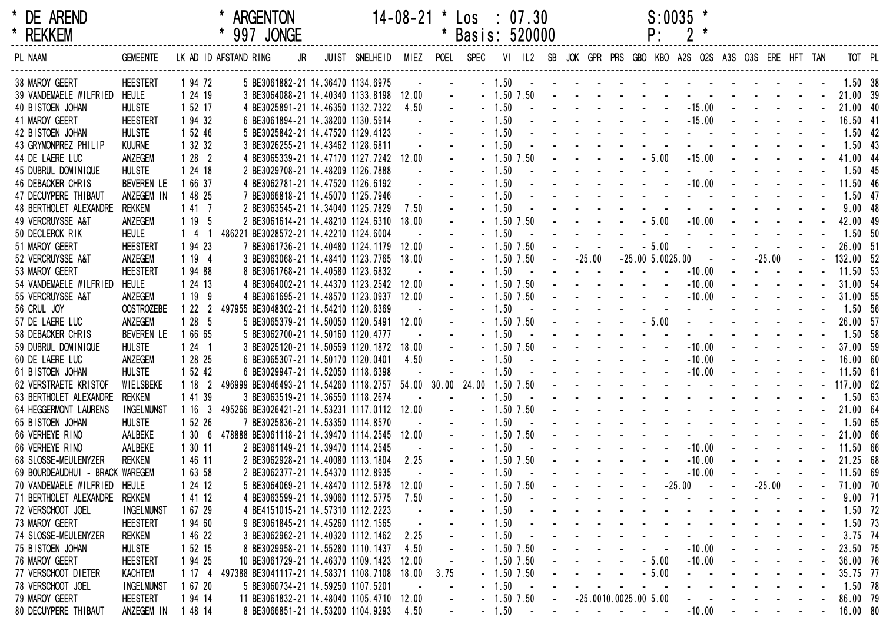| * DE AREND<br>* REKKEM          |                   |         | * ARGENTON<br>* 997 JONGE                                                 |                               |                                                           |                          | $14-08-21$ * $\text{Los}$ : 07.30<br>* Basis: 520000 |                |            |                                                                                                                                                                                                                               | P:                                                                                                                                                                                                                             | $S:0035$ *                           |                          |                  |  |                   |  |
|---------------------------------|-------------------|---------|---------------------------------------------------------------------------|-------------------------------|-----------------------------------------------------------|--------------------------|------------------------------------------------------|----------------|------------|-------------------------------------------------------------------------------------------------------------------------------------------------------------------------------------------------------------------------------|--------------------------------------------------------------------------------------------------------------------------------------------------------------------------------------------------------------------------------|--------------------------------------|--------------------------|------------------|--|-------------------|--|
| PL NAAM                         | <b>GEMEENTE</b>   |         | LK AD ID AFSTAND RING<br>JR                                               | JUIST SNELHEID MIEZ POEL SPEC |                                                           |                          |                                                      |                |            | VI IL2 SB JOK GPR PRS GBO KBO A2S O2S A3S O3S ERE HFT TAN                                                                                                                                                                     |                                                                                                                                                                                                                                |                                      |                          |                  |  | TOT PL            |  |
| 38 MAROY GEERT                  | <b>HEESTERT</b>   | 1 94 72 | 5 BE3061882-21 14.36470 1134.6975                                         |                               | $\sim 100$                                                |                          |                                                      |                |            | $-1.50$ . The second contribution of the second contribution of $-1.50$                                                                                                                                                       |                                                                                                                                                                                                                                |                                      |                          |                  |  | $1.50$ 38         |  |
| 39 VANDEMAELE WILFRIED HEULE    |                   | 1 24 19 | 3 BE3064088-21 14.40340 1133.8198 12.00                                   |                               |                                                           | $\Delta \phi$            |                                                      |                |            |                                                                                                                                                                                                                               |                                                                                                                                                                                                                                |                                      |                          |                  |  |                   |  |
| 40 BISTOEN JOHAN                | <b>HULSTE</b>     | 1 52 17 | 4 BE3025891-21 14.46350 1132.7322                                         |                               | 4.50                                                      |                          |                                                      | $-1.50$        |            | and the second contract of the                                                                                                                                                                                                |                                                                                                                                                                                                                                |                                      |                          | $-15.00$ $    -$ |  | 21.00 40          |  |
| 41 MAROY GEERT                  | <b>HEESTERT</b>   | 1 94 32 | 6 BE3061894-21 14.38200 1130.5914                                         |                               | $\mathcal{L}^{\text{max}}$ and $\mathcal{L}^{\text{max}}$ |                          |                                                      | $-1.50$        |            |                                                                                                                                                                                                                               |                                                                                                                                                                                                                                | $-15.00 - -$                         |                          |                  |  | 16.50 41          |  |
| 42 BISTOEN JOHAN                | <b>HULSTE</b>     | 1 52 46 | 5 BE3025842-21 14.47520 1129.4123                                         |                               |                                                           |                          | $-1.50$                                              |                |            |                                                                                                                                                                                                                               |                                                                                                                                                                                                                                |                                      |                          |                  |  | $1.50$ 42         |  |
| 43 GRYMONPREZ PHILIP            | <b>KUURNE</b>     | 1 32 32 | 3 BE3026255-21 14.43462 1128.6811                                         |                               |                                                           |                          | $-1.50$                                              |                |            |                                                                                                                                                                                                                               |                                                                                                                                                                                                                                |                                      |                          |                  |  | $1.50$ 43         |  |
| 44 DE LAERE LUC                 | ANZEGEM           | 1282    | 4 BE3065339-21 14.47170 1127.7242 12.00                                   |                               |                                                           |                          |                                                      | $-1.50$ $7.50$ |            |                                                                                                                                                                                                                               | $   -$ 5.00                                                                                                                                                                                                                    |                                      |                          | $-15.00$ $    -$ |  | 41.00 44          |  |
| 45 DUBRUL DOMINIQUE             | <b>HULSTE</b>     | 1 24 18 | 2 BE3029708-21 14.48209 1126.7888                                         |                               |                                                           |                          | $-1.50$                                              |                |            |                                                                                                                                                                                                                               |                                                                                                                                                                                                                                |                                      |                          |                  |  | $1.50$ 45         |  |
| 46 DEBACKER CHRIS               | <b>BEVEREN LE</b> | 1 66 37 | 4 BE3062781-21 14.47520 1126.6192                                         |                               |                                                           |                          | $-1.50$                                              |                |            |                                                                                                                                                                                                                               |                                                                                                                                                                                                                                | $-10.00$ $  -$                       |                          |                  |  | 11.50 46          |  |
| 47 DECUYPERE THIBAUT            | ANZEGEM IN        | 1 48 25 | 7 BE3066818-21 14.45070 1125.7946                                         |                               |                                                           |                          | $-1.50$                                              |                |            |                                                                                                                                                                                                                               |                                                                                                                                                                                                                                |                                      |                          |                  |  | $1.50$ 47         |  |
| 48 BERTHOLET ALEXANDRE          | <b>REKKEM</b>     | 1417    | 2 BE3063545-21 14.34040 1125.7829                                         |                               | 7.50                                                      |                          | $-1.50$                                              |                |            |                                                                                                                                                                                                                               |                                                                                                                                                                                                                                |                                      |                          |                  |  | 9.0048            |  |
| 49 VERCRUYSSE A&T               | ANZEGEM           | 1195    | 2 BE3061614-21 14.48210 1124.6310 18.00                                   |                               |                                                           |                          |                                                      | $-1.50$ 7.50   |            |                                                                                                                                                                                                                               | $   -$ 5.00                                                                                                                                                                                                                    |                                      |                          | $-10.00$ $    -$ |  | 42.00 49          |  |
| 50 DECLERCK RIK                 | <b>HEULE</b>      |         | 1 4 1 486221 BE3028572-21 14.42210 1124.6004                              |                               |                                                           |                          |                                                      | $-1.50$        |            |                                                                                                                                                                                                                               |                                                                                                                                                                                                                                |                                      |                          |                  |  | 1.50 50           |  |
| 51 MAROY GEERT                  | <b>HEESTERT</b>   | 1 94 23 | 7 BE3061736-21 14.40480 1124.1179 12.00                                   |                               |                                                           |                          |                                                      | $-1.50$ $7.50$ |            | $     5.00$                                                                                                                                                                                                                   |                                                                                                                                                                                                                                | and the state of the state of the    |                          |                  |  | 26.00 51          |  |
| 52 VERCRUYSSE A&T               | ANZEGEM           | 1194    | 3 BE3063068-21 14.48410 1123.7765 18.00                                   |                               |                                                           |                          |                                                      |                |            | $-1.50$ $7.50$ $-25.00$ $-25.00$ $5.0025.00$                                                                                                                                                                                  |                                                                                                                                                                                                                                |                                      | <b>Contract Contract</b> | $-25.00$         |  | $ -$ 132.00 52    |  |
| 53 MAROY GEERT                  | <b>HEESTERT</b>   | 1 94 88 | 8 BE3061768-21 14.40580 1123.6832                                         |                               |                                                           |                          |                                                      | $-1.50$        |            | the company of the company of the company of the company of the company of the company of the company of the company of the company of the company of the company of the company of the company of the company of the company |                                                                                                                                                                                                                                | $-10.00$                             |                          |                  |  | 11.50 53          |  |
| 54 VANDEMAELE WILFRIED          | <b>HEULE</b>      | 1 24 13 | 4 BE3064002-21 14.44370 1123.2542 12.00                                   |                               |                                                           |                          |                                                      |                |            | $-1.50$ 7.50 $    -$                                                                                                                                                                                                          |                                                                                                                                                                                                                                | $-10.00$                             |                          |                  |  | 31.00 54          |  |
| 55 VERCRUYSSE A&T               | ANZEGEM           | 1199    | 4 BE3061695-21 14.48570 1123.0937 12.00                                   |                               |                                                           |                          |                                                      | $-1.50$ $7.50$ |            |                                                                                                                                                                                                                               |                                                                                                                                                                                                                                | $-10.00 - -$                         |                          |                  |  | 31.00 55          |  |
| 56 CRUL JOY                     | <b>OOSTROZEBE</b> |         | 1 22 2 497955 BE3048302-21 14.54210 1120.6369                             |                               |                                                           |                          |                                                      | $-1.50$        |            |                                                                                                                                                                                                                               |                                                                                                                                                                                                                                | and the second control of the second |                          |                  |  | 1.50 56           |  |
| 57 DE LAERE LUC                 | ANZEGEM           | 1285    | 5 BE3065379-21 14.50050 1120.5491 12.00                                   |                               |                                                           |                          |                                                      | $-1.50$ 7.50   |            |                                                                                                                                                                                                                               | $    5.00$                                                                                                                                                                                                                     |                                      |                          |                  |  | 26.00 57          |  |
| 58 DEBACKER CHRIS               | BEVEREN LE        | 1 66 65 | 5 BE3062700-21 14.50160 1120.4777                                         |                               | <b>Contract Contract</b>                                  |                          |                                                      | $-1.50$        |            |                                                                                                                                                                                                                               |                                                                                                                                                                                                                                |                                      |                          |                  |  | 1.50 58           |  |
| 59 DUBRUL DOMINIQUE             | <b>HULSTE</b>     | $124$ 1 | 3 BE3025120-21 14.50559 1120.1872 18.00                                   |                               |                                                           |                          |                                                      | $-1.50$ $7.50$ |            | and the state of the state of                                                                                                                                                                                                 |                                                                                                                                                                                                                                | $-10.00$                             |                          |                  |  | 37.00 59          |  |
| 60 DE LAERE LUC                 | ANZEGEM           | 1 28 25 | 6 BE3065307-21 14.50170 1120.0401                                         |                               | 4.50                                                      |                          |                                                      | $-1.50$        |            |                                                                                                                                                                                                                               |                                                                                                                                                                                                                                | $-10.00$                             |                          |                  |  | 16.00 60          |  |
| 61 BISTOEN JOHAN                | <b>HULSTE</b>     | 1 52 42 | 6 BE3029947-21 14.52050 1118.6398                                         |                               |                                                           |                          |                                                      | $-1.50$        |            |                                                                                                                                                                                                                               |                                                                                                                                                                                                                                | $-10.00 -$                           |                          |                  |  | 11.50 61          |  |
| 62 VERSTRAETE KRISTOF           | WIELSBEKE         |         | 1 18 2 496999 BE3046493-21 14.54260 1118.2757 54.00 30.00 24.00 1.50 7.50 |                               |                                                           |                          |                                                      |                |            |                                                                                                                                                                                                                               |                                                                                                                                                                                                                                | and the second control of the second |                          |                  |  | $-117.00$ 62      |  |
| 63 BERTHOLET ALEXANDRE          | <b>REKKEM</b>     | 1 41 39 | 3 BE3063519-21 14.36550 1118.2674                                         |                               |                                                           | <b>Contract Contract</b> |                                                      | $-1.50$        |            |                                                                                                                                                                                                                               |                                                                                                                                                                                                                                |                                      |                          |                  |  | $1.50$ 63         |  |
| 64 HEGGERMONT LAURENS           | <b>INGELMUNST</b> |         | 1 16 3 495266 BE3026421-21 14.53231 1117.0112 12.00                       |                               |                                                           | $\mathbf{r}$             |                                                      | $-1.50$ 7.50   |            | . 21.00 64                                                                                                                                                                                                                    |                                                                                                                                                                                                                                |                                      |                          |                  |  |                   |  |
| 65 BISTOEN JOHAN                | <b>HULSTE</b>     | 1 52 26 | 7 BE3025836-21 14.53350 1114.8570                                         |                               | <b>Contract Contract</b>                                  |                          |                                                      | $-1.50$        |            |                                                                                                                                                                                                                               | the second contract of the second contract of the second contract of the second contract of the second contract of the second contract of the second contract of the second contract of the second contract of the second cont |                                      |                          |                  |  | 1.50 65           |  |
| 66 VERHEYE RINO                 | AALBEKE           |         | 1 30 6 478888 BE3061118-21 14.39470 1114.2545 12.00                       |                               |                                                           |                          |                                                      | $-1.50$ 7.50   |            |                                                                                                                                                                                                                               |                                                                                                                                                                                                                                | - - - - - - - - 21.00 66             |                          |                  |  |                   |  |
| 66 VERHEYE RINO                 | AALBEKE           | 1 30 11 | 2 BE3061149-21 14.39470 1114.2545                                         |                               | $\sim 100$ km s $^{-1}$                                   |                          | $-1.50$                                              |                |            |                                                                                                                                                                                                                               |                                                                                                                                                                                                                                | $-10.00$                             |                          |                  |  | 11.50 66          |  |
| 68 SLOSSE-MEULENYZER            | <b>REKKEM</b>     | 1 46 11 | 2 BE3062928-21 14.40080 1113.1804                                         |                               | 2.25                                                      | $\Delta$                 |                                                      |                |            | $-1.50$ 7.50 $    -$                                                                                                                                                                                                          |                                                                                                                                                                                                                                | $-10.00$                             |                          | $    -$ 21.25 68 |  |                   |  |
| 69 BOURDEAUDHUI - BRACK WAREGEM |                   | 1 63 58 | 2 BE3062377-21 14.54370 1112.8935                                         |                               |                                                           |                          |                                                      | $-1.50$        |            |                                                                                                                                                                                                                               |                                                                                                                                                                                                                                | $-10.00$                             |                          |                  |  | 11.50 69          |  |
| 70 VANDEMAELE WILFRIED          | HEULE             | 1 24 12 | 5 BE3064069-21 14.48470 1112.5878 12.00                                   |                               |                                                           |                          |                                                      | $-1.50$ 7.50   |            |                                                                                                                                                                                                                               |                                                                                                                                                                                                                                | $-25.00$                             |                          | $-25.00$         |  | 71.00 70          |  |
| 71 BERTHOLET ALEXANDRE          | rekkem            | 1 41 12 | 4 BE3063599-21 14.39060 1112.5775                                         |                               | 7.50                                                      |                          | $-1.50$                                              |                |            |                                                                                                                                                                                                                               |                                                                                                                                                                                                                                |                                      |                          |                  |  | $9.00$ 71         |  |
| 72 VERSCHOOT JOEL               | <b>INGELMUNST</b> | 1 67 29 | 4 BE4151015-21 14.57310 1112.2223                                         |                               |                                                           |                          | $-1.50$                                              |                |            |                                                                                                                                                                                                                               |                                                                                                                                                                                                                                |                                      |                          |                  |  | 1.50 72           |  |
| 73 MAROY GEERT                  | <b>HEESTERT</b>   | 1 94 60 | 9 BE3061845-21 14.45260 1112.1565                                         |                               |                                                           |                          | $-1.50$                                              |                |            |                                                                                                                                                                                                                               |                                                                                                                                                                                                                                |                                      |                          |                  |  | $1.50$ 73         |  |
| 74 SLOSSE-MEULENYZER            | <b>REKKEM</b>     | 1 46 22 | 3 BE3062962-21 14.40320 1112.1462                                         |                               | 2.25                                                      |                          | $-1.50$                                              |                |            |                                                                                                                                                                                                                               |                                                                                                                                                                                                                                |                                      |                          |                  |  | 3.75 74           |  |
| 75 BISTOEN JOHAN                | <b>HULSTE</b>     | 1 52 15 | 8 BE3029958-21 14.55280 1110.1437                                         |                               | 4.50                                                      |                          |                                                      | $-1.50$ 7.50   |            |                                                                                                                                                                                                                               |                                                                                                                                                                                                                                | $-10.00$                             |                          |                  |  | 23.50 75          |  |
| 76 MAROY GEERT                  | <b>HEESTERT</b>   | 1 94 25 | 10 BE3061729-21 14.46370 1109.1423                                        |                               | 12.00                                                     |                          |                                                      | $-1.50$ 7.50   |            |                                                                                                                                                                                                                               | $-5.00$                                                                                                                                                                                                                        | $-10.00$                             |                          |                  |  | 36.00 76          |  |
| 77 VERSCHOOT DIETER             | <b>KACHTEM</b>    | 1174    | 497388 BE3041117-21 14.58371 1108.7108                                    |                               | 18.00                                                     | 3.75                     |                                                      | $-1.50$ 7.50   |            |                                                                                                                                                                                                                               | $-5.00$                                                                                                                                                                                                                        |                                      |                          |                  |  | 35.75 77          |  |
| 78 VERSCHOOT JOEL               | <b>INGELMUNST</b> | 1 67 20 | 5 BE3060734-21 14.59250 1107.5201                                         |                               |                                                           |                          | $-1.50$                                              |                |            |                                                                                                                                                                                                                               |                                                                                                                                                                                                                                |                                      |                          |                  |  | 1.50 78           |  |
| 79 MAROY GEERT                  | <b>HEESTERT</b>   | 1 94 14 | 11 BE3061832-21 14.48040 1105.4710 12.00                                  |                               |                                                           |                          |                                                      | $-1.50$ 7.50   | $\sim$ $-$ |                                                                                                                                                                                                                               | $-25.0010.0025.005.00$                                                                                                                                                                                                         |                                      |                          |                  |  | 86.00 79          |  |
| 80 DECUYPERE THIBAUT            | ANZEGEM IN        | 1 48 14 | 8 BE3066851-21 14.53200 1104.9293 4.50                                    |                               |                                                           | $\sim$                   |                                                      | $-1.50$        | $\sim 100$ |                                                                                                                                                                                                                               | the company of the company of the                                                                                                                                                                                              | $-10.00$                             | <b>Contract Contract</b> |                  |  | $- - - - 16.0080$ |  |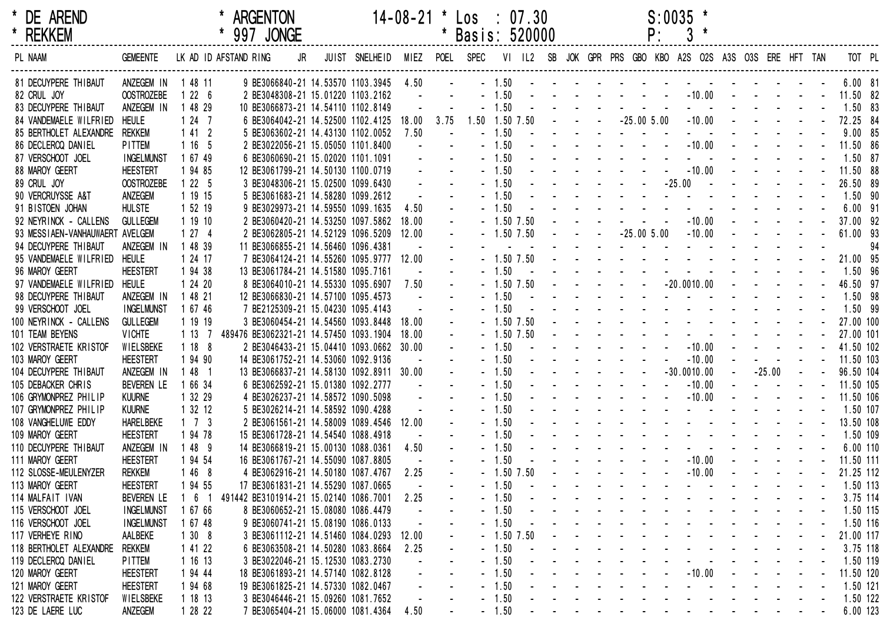| * DE AREND<br>* REKKEM                         |                                |                       | * ARGENTON                                                                                        |                                                                                            |       |                 | $14-08-21$ * $\text{Los}$ : 07.30<br>* Basis: 520000 |              |  |  |                                                                                                                                                                                                                                                                                        | P: | $S:0035$ * |                          |                   |                          |                        |        |
|------------------------------------------------|--------------------------------|-----------------------|---------------------------------------------------------------------------------------------------|--------------------------------------------------------------------------------------------|-------|-----------------|------------------------------------------------------|--------------|--|--|----------------------------------------------------------------------------------------------------------------------------------------------------------------------------------------------------------------------------------------------------------------------------------------|----|------------|--------------------------|-------------------|--------------------------|------------------------|--------|
| PL NAAM                                        | GEMEENTE LK AD ID AFSTAND RING |                       |                                                                                                   | JR JUIST SNELHEID MIEZ POEL SPEC VI IL2 SB JOK GPR PRS GBO KBO A2S O2S A3S O3S ERE HFT TAN |       |                 |                                                      |              |  |  |                                                                                                                                                                                                                                                                                        |    |            |                          |                   |                          |                        | TOT PL |
| 81 DECUYPERE THIBAUT                           | ANZEGEM IN 1 48 11             |                       | 9 BE3066840-21 14.53570 1103.3945 4.50                                                            |                                                                                            |       |                 |                                                      |              |  |  |                                                                                                                                                                                                                                                                                        |    |            |                          |                   |                          | $6.00$ 81              |        |
| 82 CRUL JOY                                    | <b>OOSTROZEBE</b>              | 1226                  | 2 BE3048308-21 15.01220 1103.2162                                                                 |                                                                                            |       |                 |                                                      |              |  |  | - - - 1.50 - - - - - - - - - 10.00 - - - - - 11.50 82<br>$-1.50$ . The set of the set of the set of the set of the set of the set of the set of the set of the set of the set of the set of the set of the set of the set of the set of the set of the set of the set of the set of th |    |            |                          |                   |                          |                        |        |
| 83 DECUYPERE THIBAUT<br>84 VANDEMAELE WILFRIED | ANZEGEM IN<br><b>HEULE</b>     | 1 48 29<br>1247       | 10 BE3066873-21 14.54110 1102.8149<br>6 BE3064042-21 14.52500 1102.4125 18.00 3.75 1.50 1.50 7.50 |                                                                                            |       |                 |                                                      |              |  |  |                                                                                                                                                                                                                                                                                        |    |            |                          |                   |                          | 1.50 83                |        |
| 85 BERTHOLET ALEXANDRE                         | <b>REKKEM</b>                  | 1412                  | 5 BE3063602-21 14.43130 1102.0052                                                                 |                                                                                            | 7.50  | <b>Contract</b> |                                                      | $-1.50$      |  |  | the second contract of the second contract of                                                                                                                                                                                                                                          |    |            |                          |                   |                          | 9.00 85                |        |
| 86 DECLERCQ DANIEL                             | <b>PITTEM</b>                  | 1165                  | 2 BE3022056-21 15.05050 1101.8400                                                                 |                                                                                            |       |                 |                                                      |              |  |  | $-1.50$ $        -10.00$ $       11.50$ 86                                                                                                                                                                                                                                             |    |            |                          |                   |                          |                        |        |
| 87 VERSCHOOT JOEL                              | <b>INGELMUNST</b>              | 1 67 49               | 6 BE3060690-21 15.02020 1101.1091                                                                 |                                                                                            |       |                 |                                                      |              |  |  | $-1.50$ . The contract of the contract of the contract of the contract of the contract of the contract of the contract of the contract of the contract of the contract of the contract of the contract of the contract of the                                                          |    |            |                          |                   |                          | 1.50 87                |        |
| 88 MAROY GEERT                                 | <b>HEESTERT</b>                | 1 94 85               | 12 BE3061799-21 14.50130 1100.0719                                                                |                                                                                            |       |                 |                                                      |              |  |  | $-1.50$ $       -10.00$ $      11.50$ 88                                                                                                                                                                                                                                               |    |            |                          |                   |                          |                        |        |
| 89 CRUL JOY                                    | <b>OOSTROZEBE</b>              | 1225                  | 3 BE3048306-21 15.02500 1099.6430                                                                 |                                                                                            |       |                 |                                                      |              |  |  |                                                                                                                                                                                                                                                                                        |    |            |                          |                   |                          | 26.50 89               |        |
| 90 VERCRUYSSE A&T                              | ANZEGEM                        | 1 19 15               | 5 BE3061683-21 14.58280 1099.2612                                                                 |                                                                                            |       |                 |                                                      | $-1.50$      |  |  | the contract of the contract of the contract of the contract of the contract of the contract of the contract of                                                                                                                                                                        |    |            |                          |                   |                          | $1.50$ 90              |        |
| 91 BISTOEN JOHAN                               | <b>HULSTE</b>                  | 1 52 19               | 9 BE3029973-21 14.59550 1099.1635                                                                 |                                                                                            | 4.50  |                 |                                                      | $-1.50$      |  |  | the second contract of the second contract of the second second contract of the second second second second second second second second second second second second second second second second second second second second se                                                         |    |            |                          |                   |                          | 6.00 91                |        |
| 92 NEYRINCK - CALLENS                          | <b>GULLEGEM</b>                | 1 19 10               | 2 BE3060420-21 14.53250 1097.5862                                                                 |                                                                                            | 18.00 |                 |                                                      |              |  |  | $-1.50$ 7.50 $      -10.00$ $     -$ 37.00 92                                                                                                                                                                                                                                          |    |            |                          |                   |                          |                        |        |
| 93 MESSIAEN-VANHAUWAERT AVELGEM                |                                | 1274                  | 2 BE3062805-21 14.52129 1096.5209 12.00                                                           |                                                                                            |       | $\sim$          |                                                      |              |  |  | $-1.50$ 7.50 $  -25.00$ 5.00 $-10.00$ $    -$                                                                                                                                                                                                                                          |    |            |                          |                   |                          | 61.00 93               |        |
| 94 DECUYPERE THIBAUT                           | ANZEGEM IN                     | 1 48 39               | 11 BE3066855-21 14.56460 1096.4381                                                                |                                                                                            |       |                 |                                                      |              |  |  | the contract of the contract of the contract of                                                                                                                                                                                                                                        |    |            |                          |                   |                          |                        | -94    |
| 95 VANDEMAELE WILFRIED HEULE                   |                                | 1 24 17               | 7 BE3064124-21 14.55260 1095.9777 12.00                                                           |                                                                                            |       |                 |                                                      |              |  |  |                                                                                                                                                                                                                                                                                        |    |            |                          |                   |                          |                        |        |
| 96 MAROY GEERT                                 | <b>HEESTERT</b>                | 1 94 38               | 13 BE3061784-21 14.51580 1095.7161                                                                |                                                                                            |       |                 |                                                      | $-1.50$      |  |  | <u>.</u> 1.50 96                                                                                                                                                                                                                                                                       |    |            |                          |                   |                          |                        |        |
| 97 VANDEMAELE WILFRIED                         | <b>HEULE</b>                   | 1 24 20               | 8 BE3064010-21 14.55330 1095.6907                                                                 |                                                                                            | 7.50  |                 |                                                      |              |  |  | $-1.50$ 7.50 $     -20.0010.00$ $     -$ 46.50 97                                                                                                                                                                                                                                      |    |            |                          |                   |                          |                        |        |
| 98 DECUYPERE THIBAUT                           | ANZEGEM IN                     | 1 48 21               | 12 BE3066830-21 14.57100 1095.4573                                                                |                                                                                            |       |                 |                                                      | $-1.50$      |  |  | . 1.50 98                                                                                                                                                                                                                                                                              |    |            |                          |                   |                          |                        |        |
| 99 VERSCHOOT JOEL                              | <b>INGELMUNST</b>              | 1 67 46               | 7 BE2125309-21 15.04230 1095.4143                                                                 |                                                                                            |       |                 |                                                      | $-1.50$      |  |  | <u>.</u> 1.50 99                                                                                                                                                                                                                                                                       |    |            |                          |                   |                          |                        |        |
| 100 NEYRINCK - CALLENS                         | <b>GULLEGEM</b>                | 1 19 19               | 3 BE3060454-21 14.54560 1093.8448 18.00                                                           |                                                                                            |       |                 |                                                      |              |  |  |                                                                                                                                                                                                                                                                                        |    |            |                          |                   |                          |                        |        |
| 101 TEAM BEYENS                                | <b>VICHTE</b>                  | 1 13 7                | 489476 BE3062321-21 14.57450 1093.1904                                                            |                                                                                            | 18.00 |                 |                                                      |              |  |  |                                                                                                                                                                                                                                                                                        |    |            |                          |                   |                          |                        |        |
| 102 VERSTRAETE KRISTOF                         | WIELSBEKE                      | 1188                  | 2 BE3046433-21 15.04410 1093.0662 30.00                                                           |                                                                                            |       |                 |                                                      | $-1.50$      |  |  | - - - - - - - - - 10.00 - - - - - - 41.50 102                                                                                                                                                                                                                                          |    |            |                          |                   |                          |                        |        |
| 103 MAROY GEERT                                | <b>HEESTERT</b>                | 1 94 90               | 14 BE3061752-21 14.53060 1092.9136                                                                |                                                                                            |       |                 |                                                      | $-1.50$      |  |  | $         10.00$                                                                                                                                                                                                                                                                       |    |            |                          | $    -$ 11.50 103 |                          |                        |        |
| 104 DECUYPERE THIBAUT                          | ANZEGEM IN                     | $148$ 1               | 13 BE3066837-21 14.58130 1092.8911 30.00                                                          |                                                                                            |       |                 |                                                      | $-1.50$      |  |  |                                                                                                                                                                                                                                                                                        |    |            |                          |                   |                          | $-25.00$ $  96.50$ 104 |        |
| 105 DEBACKER CHRIS                             | <b>BEVEREN LE</b>              | 1 66 34               | 6 BE3062592-21 15.01380 1092.2777                                                                 |                                                                                            |       |                 |                                                      | $-1.50$      |  |  |                                                                                                                                                                                                                                                                                        |    |            |                          | $    -$ 11.50 105 |                          |                        |        |
| 106 GRYMONPREZ PHILIP                          | <b>KUURNE</b>                  | 1 32 29               | 4 BE3026237-21 14.58572 1090.5098                                                                 |                                                                                            |       |                 |                                                      | $-1.50$      |  |  | . 10.00 - - - - - 11.50 106                                                                                                                                                                                                                                                            |    |            |                          |                   |                          |                        |        |
| 107 GRYMONPREZ PHILIP                          | <b>KUURNE</b>                  | 1 32 12               | 5 BE3026214-21 14.58592 1090.4288                                                                 |                                                                                            |       |                 |                                                      | $-1.50$      |  |  | <u>.</u> 1.50 107                                                                                                                                                                                                                                                                      |    |            |                          |                   |                          |                        |        |
| 108 VANGHELUWE EDDY                            | <b>HARELBEKE</b>               | $1 \quad 7 \quad 3$   | 2 BE3061561-21 14.58009 1089.4546 12.00                                                           |                                                                                            |       |                 |                                                      | $-1.50$      |  |  | <u>- - - - - - - - - - - - - - - 13.50 108</u>                                                                                                                                                                                                                                         |    |            |                          |                   |                          |                        |        |
| 109 MAROY GEERT                                | <b>HEESTERT</b>                | 1 94 78               | 15 BE3061728-21 14.54540 1088.4918                                                                |                                                                                            |       |                 |                                                      |              |  |  |                                                                                                                                                                                                                                                                                        |    |            |                          |                   |                          |                        |        |
| 110 DECUYPERE THIBAUT                          | ANZEGEM IN                     | 1 48 9                | 14 BE3066819-21 15.00130 1088.0361                                                                |                                                                                            | 4.50  |                 |                                                      |              |  |  |                                                                                                                                                                                                                                                                                        |    |            |                          |                   |                          |                        |        |
| 111 MAROY GEERT                                | <b>HEESTERT</b>                | 1 94 54               | 16 BE3061767-21 14.55090 1087.8805                                                                |                                                                                            |       |                 |                                                      | $-1.50$      |  |  | - - - - - - - - 10.00 - - - - - 11.50 111                                                                                                                                                                                                                                              |    |            |                          |                   |                          |                        |        |
| 112 SLOSSE-MEULENYZER                          | <b>REKKEM</b>                  | 1468                  | 4 BE3062916-21 14.50180 1087.4767 2.25                                                            |                                                                                            |       |                 |                                                      | $-1.50$ 7.50 |  |  | $       10.00$                                                                                                                                                                                                                                                                         |    |            |                          |                   |                          | 21.25 112              |        |
| 113 MAROY GEERT                                | <b>HEESTERT</b>                | 1 94 55               | 17 BE3061831-21 14.55290 1087.0665                                                                |                                                                                            |       |                 |                                                      | $-1.50$      |  |  |                                                                                                                                                                                                                                                                                        |    |            |                          |                   |                          | 1.50 113               |        |
| 114 MALFAIT IVAN                               | <b>BEVEREN LE</b>              | $6\phantom{.0}$<br>-1 | 491442 BE3101914-21 15.02140 1086.7001                                                            |                                                                                            | 2.25  |                 |                                                      | $-1.50$      |  |  |                                                                                                                                                                                                                                                                                        |    |            |                          |                   |                          | 3.75 114               |        |
| 115 VERSCHOOT JOEL                             | <b>INGELMUNST</b>              | 1 67 66               | 8 BE3060652-21 15.08080 1086.4479                                                                 |                                                                                            |       |                 |                                                      | $-1.50$      |  |  |                                                                                                                                                                                                                                                                                        |    |            |                          |                   |                          | 1.50 115               |        |
| 116 VERSCHOOT JOEL                             | <b>INGELMUNST</b>              | 1 67 48               | 9 BE3060741-21 15.08190 1086.0133                                                                 |                                                                                            |       |                 |                                                      | $-1.50$      |  |  |                                                                                                                                                                                                                                                                                        |    |            |                          |                   |                          | 1.50 116               |        |
| 117 VERHEYE RINO                               | AALBEKE                        | 1308                  | 3 BE3061112-21 14.51460 1084.0293                                                                 |                                                                                            | 12.00 |                 |                                                      | $-1.50$ 7.50 |  |  |                                                                                                                                                                                                                                                                                        |    |            |                          |                   |                          | 21.00 117              |        |
| 118 BERTHOLET ALEXANDRE                        | Rekkem                         | 1 41 22               | 6 BE3063508-21 14.50280 1083.8664                                                                 |                                                                                            | 2.25  |                 |                                                      | $-1.50$      |  |  |                                                                                                                                                                                                                                                                                        |    |            |                          |                   |                          | 3.75 118               |        |
| 119 DECLERCQ DANIEL                            | <b>PITTEM</b>                  | 1 16 13               | 3 BE3022046-21 15.12530 1083.2730                                                                 |                                                                                            |       |                 |                                                      | $-1.50$      |  |  |                                                                                                                                                                                                                                                                                        |    |            |                          |                   |                          | 1.50 119               |        |
| 120 MAROY GEERT                                | <b>HEESTERT</b>                | 1 94 44               | 18 BE3061893-21 14.57140 1082.8128                                                                |                                                                                            |       |                 |                                                      | $-1.50$      |  |  |                                                                                                                                                                                                                                                                                        |    | $-10.00$   |                          |                   |                          | 11.50 120              |        |
| 121 MAROY GEERT                                | <b>HEESTERT</b>                | 1 94 68               | 19 BE3061825-21 14.57330 1082.0467                                                                |                                                                                            |       |                 |                                                      | $-1.50$      |  |  |                                                                                                                                                                                                                                                                                        |    |            |                          |                   |                          | 1.50 121               |        |
| 122 VERSTRAETE KRISTOF                         | WIELSBEKE                      | 1 18 13               | 3 BE3046446-21 15.09260 1081.7652                                                                 |                                                                                            |       |                 |                                                      | $-1.50$      |  |  |                                                                                                                                                                                                                                                                                        |    |            |                          |                   |                          | 1.50 122               |        |
| 123 DE LAERE LUC                               | ANZEGEM                        | 1 28 22               | 7 BE3065404-21 15.06000 1081.4364                                                                 |                                                                                            | 4.50  |                 |                                                      | $-1.50$      |  |  |                                                                                                                                                                                                                                                                                        |    |            | <b>Contract Contract</b> | $\sim 100$        | <b>Contract Contract</b> | 6.00 123               |        |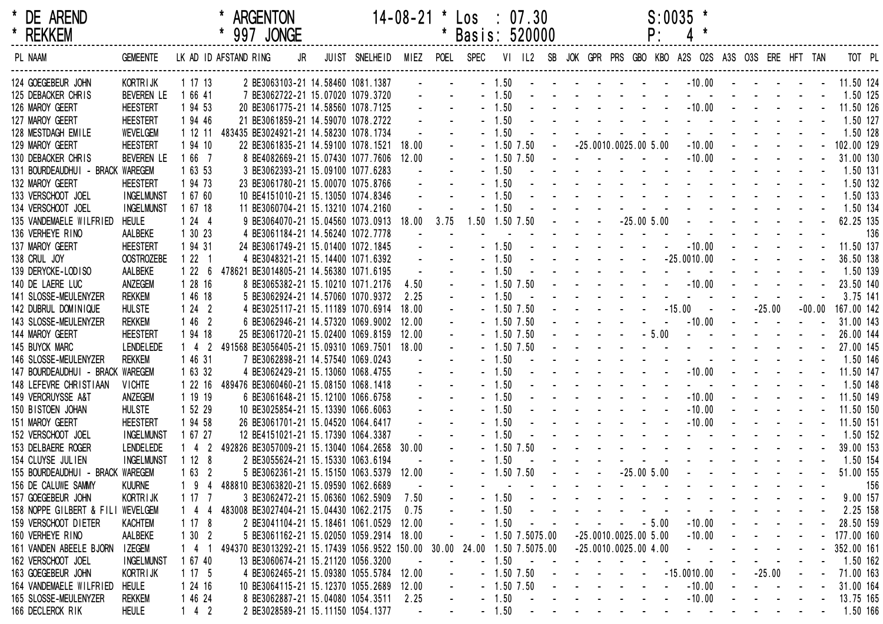| * DE AREND<br>* REKKEM                                     |                                   |                     |                       | <b>ARGENTON</b><br>* 997 JONGE                                              |                               | $14-08-21$ * $\text{Los}$ : 07.30 |       | * Basis: 520000      |                           |              |                                   |         | $S:0035$ *                                                                                                                                                                                                                     |                   |          |               |     |
|------------------------------------------------------------|-----------------------------------|---------------------|-----------------------|-----------------------------------------------------------------------------|-------------------------------|-----------------------------------|-------|----------------------|---------------------------|--------------|-----------------------------------|---------|--------------------------------------------------------------------------------------------------------------------------------------------------------------------------------------------------------------------------------|-------------------|----------|---------------|-----|
| PL NAAM                                                    | <b>GEMEENTE</b>                   |                     | LK AD ID AFSTAND RING | JR                                                                          | JUIST SNELHEID MIEZ POEL SPEC |                                   |       |                      |                           |              |                                   |         | VI IL2 SB JOK GPR PRS GBO KBO A2S O2S A3S O3S ERE HFT TAN                                                                                                                                                                      |                   |          |               |     |
| 124 GOEGEBEUR JOHN                                         | KORTR I JK                        | 1 17 13             |                       | 2 BE3063103-21 14.58460 1081.1387                                           |                               |                                   |       |                      | $-1.50$                   |              |                                   |         | - - - - - - - - 10.00 - - - - - - 11.50 124                                                                                                                                                                                    |                   |          |               |     |
| 125 DEBACKER CHRIS                                         | BEVEREN LE                        | 1 66 41             |                       | 7 BE3062722-21 15.07020 1079.3720                                           |                               |                                   |       |                      | $-1.50$                   |              |                                   |         | the contract of the contract of the con-                                                                                                                                                                                       |                   |          | 1.50 125      |     |
| 126 MAROY GEERT                                            | <b>HEESTERT</b>                   | 1 94 53             |                       | 20 BE3061775-21 14.58560 1078.7125                                          |                               |                                   |       |                      | $-1.50$                   |              |                                   |         | - - - - - - - - - - 10.00 - - - - - - 11.50 126                                                                                                                                                                                |                   |          |               |     |
| 127 MAROY GEERT                                            | <b>HEESTERT</b>                   | 1 94 46             |                       | 21 BE3061859-21 14.59070 1078.2722                                          |                               |                                   |       |                      | $-1.50$                   |              |                                   |         | the contract of the contract of the contract of the                                                                                                                                                                            |                   |          | 1.50 127      |     |
| 128 MESTDAGH EMILE                                         | WEVELGEM                          | 1 12 11             |                       | 483435 BE3024921-21 14.58230 1078.1734                                      |                               |                                   |       |                      | $-1.50$                   |              |                                   |         | the second contract of the second contract of the second second contract of the second second second second second second second second second second second second second second second second second second second second se |                   |          | 1.50 128      |     |
| 129 MAROY GEERT                                            | <b>HEESTERT</b>                   | 1 94 10             |                       | 22 BE3061835-21 14.59100 1078.1521                                          |                               | 18.00                             |       |                      | $-1.50$ 7.50              |              | $-25.0010.0025.005.00$            |         | $-10.00$ $   -$                                                                                                                                                                                                                |                   |          | $-102.00$ 129 |     |
| 130 DEBACKER CHRIS                                         | BEVEREN LE                        | 1 66 7              |                       | 8 BE4082669-21 15.07430 1077.7606                                           |                               | 12.00                             |       |                      | $-1.50$ 7.50              |              | and the state of the state of the |         | $-10.00$                                                                                                                                                                                                                       |                   |          | 31.00 130     |     |
| 131 BOURDEAUDHUI - BRACK WAREGEM                           |                                   | 1 63 53             |                       | 3 BE3062393-21 15.09100 1077.6283                                           |                               |                                   |       |                      | $-1.50$                   |              |                                   |         | the second contract of the second contract of the                                                                                                                                                                              |                   |          | 1.50 131      |     |
| 132 MAROY GEERT                                            | <b>HEESTERT</b>                   | 1 94 73             |                       | 23 BE3061780-21 15.00070 1075.8766                                          |                               |                                   |       |                      | $-1.50$                   |              |                                   |         | and the second contract of the second contract of the second contract of the second contract of the second contract of the second contract of the second contract of the second contract of the second contract of the second  |                   |          | 1.50 132      |     |
| 133 VERSCHOOT JOEL                                         | <b>INGELMUNST</b>                 | 1 67 60             |                       | 10 BE4151010-21 15.13050 1074.8346                                          |                               |                                   |       |                      | $-1.50$                   |              |                                   |         | the second contract of the second contract of the second contract of the second contract of the second contract of the second contract of the second contract of the second contract of the second contract of the second cont |                   |          | 1.50 133      |     |
| 134 VERSCHOOT JOEL                                         | <b>INGELMUNST</b>                 | 1 67 18             |                       | 11 BE3060704-21 15.13210 1074.2160                                          |                               |                                   |       |                      | $-1.50$                   |              |                                   |         |                                                                                                                                                                                                                                |                   |          | 1.50 134      |     |
| 135 VANDEMAELE WILFRIED                                    | <b>HEULE</b>                      | 1244                |                       | 9 BE3064070-21 15.04560 1073.0913                                           |                               | 18.00                             | 3.75  | 1.50 1.50 7.50       |                           |              |                                   |         |                                                                                                                                                                                                                                |                   |          | 62.25 135     |     |
| 136 VERHEYE RINO                                           | AALBEKE                           | 1 30 23             |                       | 4 BE3061184-21 14.56240 1072.7778                                           |                               |                                   |       |                      |                           |              |                                   |         |                                                                                                                                                                                                                                |                   |          |               | 136 |
| 137 MAROY GEERT                                            | <b>HEESTERT</b>                   | 1 94 31             |                       | 24 BE3061749-21 15.01400 1072.1845                                          |                               |                                   |       |                      | $-1.50$                   |              |                                   |         |                                                                                                                                                                                                                                |                   |          | 11.50 137     |     |
| 138 CRUL JOY                                               | <b>OOSTROZEBE</b>                 | 1221                |                       | 4 BE3048321-21 15.14400 1071.6392                                           |                               |                                   |       |                      | $-1.50$                   |              |                                   |         |                                                                                                                                                                                                                                |                   |          | 36.50 138     |     |
| 139 DERYCKE-LODISO                                         | AALBEKE                           | 1226                |                       | 478621 BE3014805-21 14.56380 1071.6195                                      |                               |                                   |       |                      | $-1.50$                   |              |                                   |         | and a series of the contract of the series of                                                                                                                                                                                  |                   |          | 1.50 139      |     |
| 140 DE LAERE LUC                                           | ANZEGEM                           | 1 28 16             |                       | 8 BE3065382-21 15.10210 1071.2176                                           |                               | 4.50                              |       |                      | $-1.50$ 7.50              |              |                                   |         |                                                                                                                                                                                                                                |                   |          |               |     |
| 141 SLOSSE-MEULENYZER                                      | <b>REKKEM</b>                     | 1 46 18             |                       | 5 BE3062924-21 14.57060 1070.9372                                           |                               | 2.25                              |       |                      | $-1.50$                   |              |                                   |         | $     -15.00$ $  -25.00$                                                                                                                                                                                                       |                   |          | 3.75 141      |     |
| 142 DUBRUL DOMINIQUE                                       | <b>HULSTE</b>                     | 1242                |                       | 4 BE3025117-21 15.11189 1070.6914                                           |                               | 18.00                             |       |                      | $-1.50$ 7.50              |              |                                   |         |                                                                                                                                                                                                                                |                   | $-00.00$ | 167.00 142    |     |
| 143 SLOSSE-MEULENYZER                                      | <b>REKKEM</b>                     | 1462                |                       | 6 BE3062946-21 14.57320 1069.9002                                           |                               | 12.00                             |       |                      | $-1.50$ 7.50              |              |                                   | $-5.00$ | $-10.00$                                                                                                                                                                                                                       |                   |          | 31.00 143     |     |
| 144 MAROY GEERT                                            | <b>HEESTERT</b>                   | 1 94 18             |                       | 25 BE3061720-21 15.02400 1069.8159                                          |                               | 12.00<br>18.00                    |       |                      | $-1.50$ 7.50              |              |                                   |         | - - - - - - - 27.00 145                                                                                                                                                                                                        |                   |          | 26.00 144     |     |
| 145 BUYCK MARC                                             | <b>LENDELEDE</b><br><b>REKKEM</b> | $1 \quad 4 \quad 2$ |                       | 491568 BE3056405-21 15.09310 1069.7501                                      |                               |                                   |       |                      | $-1.50$ $7.50$<br>$-1.50$ |              |                                   |         |                                                                                                                                                                                                                                |                   |          |               |     |
| 146 SLOSSE-MEULENYZER                                      |                                   | 1 46 31             |                       | 7 BE3062898-21 14.57540 1069.0243                                           |                               |                                   |       |                      | $-1.50$                   |              |                                   |         | - - - - - - - - 10.00 - - - - - - 11.50 147                                                                                                                                                                                    |                   |          | 1.50 146      |     |
| 147 BOURDEAUDHUI - BRACK WAREGEM<br>148 LEFEVRE CHRISTIAAN |                                   | 1 63 32             |                       | 4 BE3062429-21 15.13060 1068.4755                                           |                               |                                   |       |                      | $-1.50$                   |              |                                   |         | and a straight and a straight and                                                                                                                                                                                              |                   |          |               |     |
| 149 VERCRUYSSE A&T                                         | <b>VICHTE</b><br>ANZEGEM          | 1 22 16<br>1 19 19  |                       | 489476 BE3060460-21 15.08150 1068.1418<br>6 BE3061648-21 15.12100 1066.6758 |                               |                                   |       |                      | $-1.50$                   |              |                                   |         | $-10.00$                                                                                                                                                                                                                       | $    -$ 11.50 149 |          | 1.50 148      |     |
| 150 BISTOEN JOHAN                                          | <b>HULSTE</b>                     | 1 52 29             |                       | 10 BE3025854-21 15.13390 1066.6063                                          |                               |                                   |       |                      | $-1.50$                   |              |                                   |         | $-10.00$                                                                                                                                                                                                                       |                   |          | 11.50 150     |     |
| 151 MAROY GEERT                                            | <b>HEESTERT</b>                   | 1 94 58             |                       | 26 BE3061701-21 15.04520 1064.6417                                          |                               |                                   |       |                      | $-1.50$                   |              |                                   |         | $-10.00$                                                                                                                                                                                                                       |                   |          | 11.50 151     |     |
| 152 VERSCHOOT JOEL                                         | <b>INGELMUNST</b>                 | 1 67 27             |                       | 12 BE4151021-21 15.17390 1064.3387                                          |                               |                                   |       |                      | $-1.50$                   |              |                                   |         | and the state of the state of the state of the                                                                                                                                                                                 |                   |          | 1.50 152      |     |
| 153 DELBAERE ROGER                                         | <b>LENDELEDE</b>                  | $142$               |                       | 492826 BE3057009-21 15.13040 1064.2658                                      |                               | 30.00                             |       |                      | $-1.50$ 7.50              |              |                                   |         | and the second contract of the second contract of the second contract of the second contract of the second contract of the second contract of the second contract of the second contract of the second contract of the second  |                   |          | 39.00 153     |     |
| 154 CLUYSE JULIEN                                          | <b>INGELMUNST</b>                 | 1128                |                       | 2 BE3055624-21 15.15330 1063.6194                                           |                               |                                   |       |                      | $-1.50$                   |              |                                   |         | <u>.</u> 1.50 154                                                                                                                                                                                                              |                   |          |               |     |
| 155 BOURDEAUDHUI - BRACK WAREGEM                           |                                   | 1632                |                       | 5 BE3062361-21 15.15150 1063.5379                                           |                               | 12.00                             |       |                      | $-1.50$ 7.50              |              |                                   |         | $-25.005.00$ - - - - - - -                                                                                                                                                                                                     |                   |          | 51.00 155     |     |
| 156 DE CALUWE SAMMY                                        | <b>KUURNE</b>                     | -9                  |                       | 488810 BE3063820-21 15.09590 1062.6689                                      |                               |                                   |       |                      |                           |              |                                   |         |                                                                                                                                                                                                                                |                   |          |               | 156 |
| 157 GOEGEBEUR JOHN                                         | KORTRIJK                          | 1 17 7              |                       | 3 BE3062472-21 15.06360 1062.5909                                           |                               | 7.50                              |       |                      | $-1.50$                   |              |                                   |         |                                                                                                                                                                                                                                |                   |          | 9.00 157      |     |
| 158 NOPPE GILBERT & FILI WEVELGEM                          |                                   | $\overline{4}$<br>4 |                       | 483008 BE3027404-21 15.04430 1062.2175                                      |                               | 0.75                              |       |                      | $-1.50$                   |              |                                   |         |                                                                                                                                                                                                                                |                   |          | 2.25 158      |     |
| 159 VERSCHOOT DIETER                                       | <b>KACHTEM</b>                    | 1178                |                       | 2 BE3041104-21 15.18461 1061.0529                                           |                               | 12.00                             |       |                      | $-1.50$                   |              |                                   | $-5.00$ | $-10.00$                                                                                                                                                                                                                       |                   |          | 28.50 159     |     |
| 160 VERHEYE RINO                                           | AALBEKE                           | 1302                |                       | 5 BE3061162-21 15.02050 1059.2914                                           |                               | 18.00                             |       |                      |                           | $-1.5075.00$ | $-25.0010.0025.005.00$            |         | $-10.00$                                                                                                                                                                                                                       |                   |          | 177.00 160    |     |
| 161 VANDEN ABEELE BJORN                                    | <b>IZEGEM</b>                     | 14                  |                       | 494370 BE3013292-21 15.17439 1056.9522 150.00                               |                               |                                   | 30.00 | 24.00 1.50 7.5075.00 |                           |              | $-25.0010.0025.004.00$            |         |                                                                                                                                                                                                                                |                   |          | 352.00 161    |     |
| 162 VERSCHOOT JOEL                                         | <b>INGELMUNST</b>                 | 1 67 40             |                       | 13 BE3060674-21 15.21120 1056.3200                                          |                               |                                   |       |                      | $-1.50$                   | $\sim$ $-$   |                                   |         |                                                                                                                                                                                                                                |                   |          | 1.50 162      |     |
| 163 GOEGEBEUR JOHN                                         | KORTRIJK                          | 1175                |                       | 4 BE3062465-21 15.09380 1055.5784                                           |                               | 12.00                             |       |                      | $-1.50$ 7.50              |              |                                   |         | $-15.0010.00$                                                                                                                                                                                                                  | $-25.00$          |          | 71.00 163     |     |
| 164 VANDEMAELE WILFRIED                                    | <b>HEULE</b>                      | 1 24 16             |                       | 10 BE3064115-21 15.12370 1055.2689                                          |                               | 12.00                             |       |                      | $-1.50$ 7.50              |              |                                   |         | $-10.00$                                                                                                                                                                                                                       |                   |          | 31.00 164     |     |
| 165 SLOSSE-MEULENYZER                                      | <b>REKKEM</b>                     | 1 46 24             |                       | 8 BE3062887-21 15.04080 1054.3511                                           |                               | 2.25                              |       |                      | $-1.50$                   | $\sim$ $-$   |                                   |         | $-10.00$                                                                                                                                                                                                                       |                   |          | 13.75 165     |     |
| 166 DECLERCK RIK                                           | <b>HEULE</b>                      | $142$               |                       | 2 BE3028589-21 15.11150 1054.1377                                           |                               |                                   |       |                      | $-1.50$                   |              |                                   |         | <b>Service</b>                                                                                                                                                                                                                 |                   |          | 1.50 166      |     |
|                                                            |                                   |                     |                       |                                                                             |                               |                                   |       |                      |                           |              |                                   |         |                                                                                                                                                                                                                                |                   |          |               |     |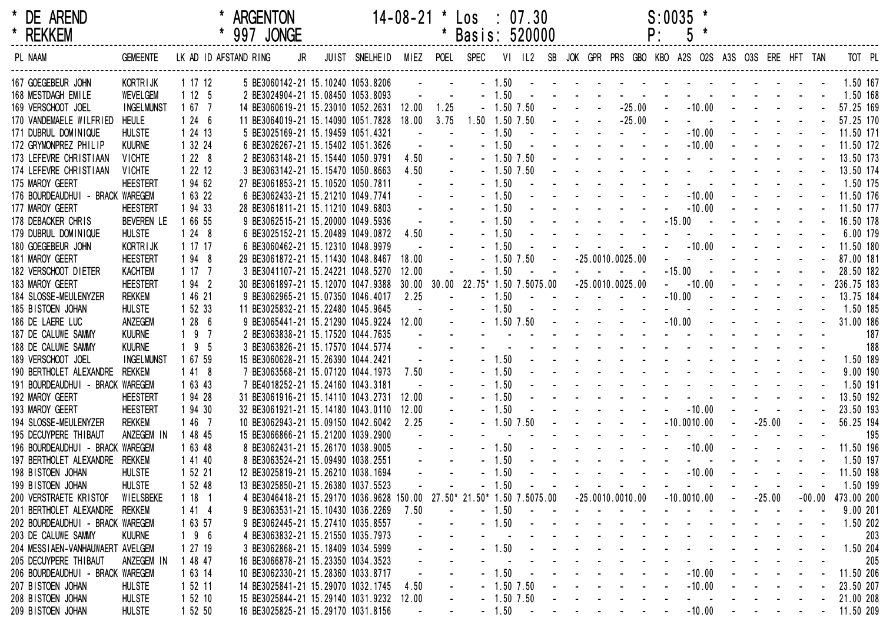| * DE AREND                       |                   |         |                       | <b>ARGENTON</b> |    |                                          | $14 - 08 - 21$ |                      | $\textsf{Los} \div 07.30$ |         |                |  |                                        |    | $S:0035$ *                                                                                                                                                                                                                     |                                                                                                                       |          |  |                       |        |
|----------------------------------|-------------------|---------|-----------------------|-----------------|----|------------------------------------------|----------------|----------------------|---------------------------|---------|----------------|--|----------------------------------------|----|--------------------------------------------------------------------------------------------------------------------------------------------------------------------------------------------------------------------------------|-----------------------------------------------------------------------------------------------------------------------|----------|--|-----------------------|--------|
| * REKKEM                         |                   |         |                       | 997 JONGE       |    |                                          |                |                      | Basis: 520000             |         |                |  |                                        | P: |                                                                                                                                                                                                                                |                                                                                                                       |          |  |                       |        |
| PL NAAM                          | <b>GEMEENTE</b>   |         | LK AD ID AFSTAND RING |                 | JR | JUIST SNELHEID                           |                |                      | MIEZ POEL SPEC            |         |                |  |                                        |    | VI IL2 SB JOK GPR PRS GBO KBO A2S O2S A3S O3S ERE HFT TAN                                                                                                                                                                      |                                                                                                                       |          |  |                       | TOT PL |
| 167 GOEGEBEUR JOHN               | KORTRIJK          | 1 17 12 |                       |                 |    | 5 BE3060142-21 15.10240 1053.8206        |                | $\Delta \phi = 0.01$ |                           |         |                |  |                                        |    | $-1.50$ . The contract of the contract of the contract of the contract of the contract of the contract of the contract of the contract of the contract of the contract of the contract of the contract of the contract of the  |                                                                                                                       |          |  | 1.50 167              |        |
| 168 MESTDAGH EMILE               | <b>WEVELGEM</b>   | 1125    |                       |                 |    | 2 BE3024904-21 15.08450 1053.8093        |                |                      |                           | $-1.50$ |                |  |                                        |    |                                                                                                                                                                                                                                |                                                                                                                       |          |  | 1.50 168              |        |
| 169 VERSCHOOT JOEL               | <b>INGELMUNST</b> | 1677    |                       |                 |    | 14 BE3060619-21 15.23010 1052.2631 12.00 |                | 1.25                 |                           |         | $-1.50$ $7.50$ |  | $-25.00$                               |    |                                                                                                                                                                                                                                | $-10.00$ - - - - -                                                                                                    |          |  | 57.25 169             |        |
| 170 VANDEMAELE WILFRIED          | <b>HEULE</b>      | 1246    |                       |                 |    | 11 BE3064019-21 15.14090 1051.7828       | 18.00          | 3.75                 | 1.50 1.50 7.50            |         |                |  | $-25.00$                               |    |                                                                                                                                                                                                                                |                                                                                                                       |          |  | 57.25 170             |        |
| 171 DUBRUL DOMINIQUE             | <b>HULSTE</b>     | 1 24 13 |                       |                 |    | 5 BE3025169-21 15.19459 1051.4321        |                |                      |                           | $-1.50$ |                |  |                                        |    | $-10.00$                                                                                                                                                                                                                       |                                                                                                                       |          |  | 11.50 171             |        |
| 172 GRYMONPREZ PHILIP            | <b>KUURNE</b>     | 1 32 24 |                       |                 |    | 6 BE3026267-21 15.15402 1051.3626        |                |                      |                           | $-1.50$ |                |  |                                        |    | $-10.00$                                                                                                                                                                                                                       |                                                                                                                       |          |  | 11.50 172             |        |
| 173 LEFEVRE CHRISTIAAN           | <b>VICHTE</b>     | $1228$  |                       |                 |    | 2 BE3063148-21 15.15440 1050.9791        | 4.50           |                      |                           |         | $-1.50$ 7.50   |  |                                        |    |                                                                                                                                                                                                                                |                                                                                                                       |          |  | 13.50 173             |        |
| 174 LEFEVRE CHRISTIAAN           | <b>VICHTE</b>     | 1 22 12 |                       |                 |    | 3 BE3063142-21 15.15470 1050.8663        | 4.50           |                      |                           |         | $-1.50$ $7.50$ |  |                                        |    | and the service and the service of                                                                                                                                                                                             |                                                                                                                       |          |  | 13.50 174             |        |
| 175 MAROY GEERT                  | <b>HEESTERT</b>   | 1 94 62 |                       |                 |    | 27 BE3061853-21 15.10520 1050.7811       |                |                      |                           | $-1.50$ |                |  |                                        |    |                                                                                                                                                                                                                                |                                                                                                                       |          |  | 1.50 175              |        |
| 176 BOURDEAUDHUI - BRACK WAREGEM |                   | 1 63 22 |                       |                 |    | 6 BE3062433-21 15.21210 1049.7741        |                |                      |                           | $-1.50$ |                |  |                                        |    | $-10.00$                                                                                                                                                                                                                       | $\mathbf{1}^{\prime}$ , $\mathbf{1}^{\prime}$ , $\mathbf{1}^{\prime}$ , $\mathbf{1}^{\prime}$ , $\mathbf{1}^{\prime}$ |          |  | 11.50 176             |        |
| 177 MAROY GEERT                  | <b>HEESTERT</b>   | 1 94 33 |                       |                 |    | 28 BE3061811-21 15.11210 1049.6803       |                |                      |                           | $-1.50$ |                |  |                                        |    | $-10.00$                                                                                                                                                                                                                       |                                                                                                                       |          |  | 11.50 177             |        |
| 178 DEBACKER CHRIS               | <b>BEVEREN LE</b> | 1 66 55 |                       |                 |    | 9 BE3062515-21 15.20000 1049.5936        |                |                      |                           | $-1.50$ |                |  |                                        |    | $-15.00 -$                                                                                                                                                                                                                     |                                                                                                                       |          |  | 16.50 178             |        |
| 179 DUBRUL DOMINIQUE             | <b>HULSTE</b>     | 1248    |                       |                 |    | 6 BE3025152-21 15.20489 1049.0872        | 4.50           |                      |                           | $-1.50$ |                |  |                                        |    |                                                                                                                                                                                                                                |                                                                                                                       |          |  | 6.00 179              |        |
| 180 GOEGEBEUR JOHN               | <b>KORTRIJK</b>   | 1 17 17 |                       |                 |    | 6 BE3060462-21 15.12310 1048.9979        |                |                      |                           | $-1.50$ |                |  |                                        |    | $ -10.00$ $   -$                                                                                                                                                                                                               |                                                                                                                       |          |  | 11.50 180             |        |
| 181 MAROY GEERT                  | <b>HEESTERT</b>   | 1 94 8  |                       |                 |    | 29 BE3061872-21 15.11430 1048.8467       | 18.00          |                      |                           |         | $-1.50$ 7.50   |  | $-25.0010.0025.00$                     |    |                                                                                                                                                                                                                                |                                                                                                                       |          |  | 87.00 181             |        |
| 182 VERSCHOOT DIETER             | <b>KACHTEM</b>    | 1177    |                       |                 |    | 3 BE3041107-21 15.24221 1048.5270        | 12.00          |                      |                           | $-1.50$ |                |  |                                        |    | $-15.00 -$                                                                                                                                                                                                                     |                                                                                                                       |          |  | 28.50 182             |        |
| 183 MAROY GEERT                  | <b>HEESTERT</b>   | 1 94 2  |                       |                 |    | 30 BE3061897-21 15.12070 1047.9388       |                | 30.00 30.00          |                           |         |                |  | 22.75* 1.50 7.5075.00 -25.0010.0025.00 |    | $- 10.00$                                                                                                                                                                                                                      | $\omega_{\rm{eff}}=0.01$ and $\omega_{\rm{eff}}=0.01$                                                                 |          |  | 236.75 183            |        |
| 184 SLOSSE-MEULENYZER            | <b>REKKEM</b>     | 1 46 21 |                       |                 |    | 9 BE3062965-21 15.07350 1046.4017        | 2.25           |                      |                           | $-1.50$ |                |  |                                        |    | $-10.00$ $    -$                                                                                                                                                                                                               |                                                                                                                       |          |  | 13.75 184             |        |
| 185 BISTOEN JOHAN                | <b>HULSTE</b>     | 1 52 33 |                       |                 |    | 11 BE3025832-21 15.22480 1045.9645       |                |                      |                           | $-1.50$ |                |  |                                        |    |                                                                                                                                                                                                                                |                                                                                                                       |          |  | 1.50 185              |        |
| 186 DE LAERE LUC                 | ANZEGEM           | 128     | - 6                   |                 |    | 9 BE3065441-21 15.21290 1045.9224 12.00  |                |                      |                           |         | $-1.50$ 7.50   |  |                                        |    | $-10.00$                                                                                                                                                                                                                       |                                                                                                                       |          |  | 31.00 186             |        |
| 187 DE CALUWE SAMMY              | <b>KUURNE</b>     | 19      | $\overline{7}$        |                 |    | 2 BE3063838-21 15.17520 1044.7635        |                |                      |                           |         |                |  |                                        |    | the contract of the contract of the contract of the                                                                                                                                                                            |                                                                                                                       |          |  |                       | 187    |
| 188 DE CALUWE SAMMY              | <b>KUURNE</b>     | 19      | -5                    |                 |    | 3 BE3063826-21 15.17570 1044.5774        |                |                      |                           |         |                |  |                                        |    | and the state of the state of the state of the                                                                                                                                                                                 |                                                                                                                       |          |  |                       | 188    |
| 189 VERSCHOOT JOEL               | <b>INGELMUNST</b> | 1 67 59 |                       |                 |    | 15 BE3060628-21 15.26390 1044.2421       |                |                      |                           | $-1.50$ |                |  |                                        |    | and the second contract of the second contract of the second second contract of the second second second second second second second second second second second second second second second second second second second secon |                                                                                                                       |          |  | 1.50 189              |        |
| 190 BERTHOLET ALEXANDRE          | <b>REKKEM</b>     | 1418    |                       |                 |    | 7 BE3063568-21 15.07120 1044.1973        | 7.50           |                      |                           | $-1.50$ |                |  |                                        |    | and the second contract of the second second                                                                                                                                                                                   |                                                                                                                       |          |  | 9.00 190              |        |
| 191 BOURDEAUDHUI - BRACK WAREGEM |                   | 1 63 43 |                       |                 |    | 7 BE4018252-21 15.24160 1043.3181        |                |                      |                           | $-1.50$ |                |  |                                        |    | the second contract of the second contract of                                                                                                                                                                                  |                                                                                                                       |          |  | 1.50 191              |        |
| 192 MAROY GEERT                  | <b>HEESTERT</b>   | 1 94 28 |                       |                 |    | 31 BE3061916-21 15.14110 1043.2731       | 12.00          |                      |                           | $-1.50$ |                |  |                                        |    |                                                                                                                                                                                                                                |                                                                                                                       |          |  | 13.50 192             |        |
| 193 MAROY GEERT                  | <b>HEESTERT</b>   | 1 94 30 |                       |                 |    | 32 BE3061921-21 15.14180 1043.0110       | 12.00          |                      |                           | $-1.50$ |                |  |                                        |    | $-10.00$                                                                                                                                                                                                                       |                                                                                                                       |          |  | 23.50 193             |        |
| 194 SLOSSE-MEULENYZER            | <b>REKKEM</b>     | 1467    |                       |                 |    | 10 BE3062943-21 15.09150 1042.6042       | 2.25           | $\blacksquare$       |                           |         | $-1.50$ 7.50   |  |                                        |    | $-10.0010.00$                                                                                                                                                                                                                  |                                                                                                                       | $-25.00$ |  | 56.25 194             |        |
| 195 DECUYPERE THIBAUT            | ANZEGEM IN        | 1 48 45 |                       |                 |    | 15 BE3066866-21 15.21200 1039.2900       |                |                      |                           |         |                |  |                                        |    |                                                                                                                                                                                                                                |                                                                                                                       |          |  |                       | 195    |
| 196 BOURDEAUDHUI - BRACK WAREGEM |                   | 1 63 48 |                       |                 |    | 8 BE3062431-21 15.26170 1038.9005        |                |                      |                           | $-1.50$ |                |  |                                        |    | $-10.00$                                                                                                                                                                                                                       |                                                                                                                       |          |  | 11.50 196             |        |
| 197 BERTHOLET ALEXANDRE          | <b>REKKEM</b>     | 1 41 40 |                       |                 |    |                                          |                |                      |                           | $-1.50$ |                |  |                                        |    | and a series of the contract of the series of                                                                                                                                                                                  |                                                                                                                       |          |  | 1.50 197              |        |
|                                  |                   |         |                       |                 |    | 8 BE3063524-21 15.09490 1038.2551        |                |                      |                           | $-1.50$ |                |  |                                        |    | $-10.00$                                                                                                                                                                                                                       |                                                                                                                       |          |  |                       |        |
| 198 BISTOEN JOHAN                | <b>HULSTE</b>     | 1 52 21 |                       |                 |    | 12 BE3025819-21 15.26210 1038.1694       |                |                      |                           |         |                |  |                                        |    |                                                                                                                                                                                                                                |                                                                                                                       |          |  | 11.50 198             |        |
| 199 BISTOEN JOHAN                | <b>HULSTE</b>     | 1 52 48 |                       |                 |    | 13 BE3025850-21 15.26380 1037.5523       |                |                      |                           | 1.50    |                |  |                                        |    |                                                                                                                                                                                                                                |                                                                                                                       |          |  | 1.50 199              |        |
| 200 VERSTRAETE KRISTOF           | WIELSBEKE         | 1181    |                       |                 |    | 4 BE3046418-21 15.29170 1036.9628 150.00 |                | $27.50*$             | 21.50* 1.50 7.5075.00     |         |                |  | $-25.0010.0010.00$                     |    | $-10.0010.00$                                                                                                                                                                                                                  |                                                                                                                       | $-25.00$ |  | $-00.00$ $473.00$ 200 |        |
| 201 BERTHOLET ALEXANDRE REKKEM   |                   | 1414    |                       |                 |    | 9 BE3063531-21 15.10430 1036.2269        | 7.50           |                      |                           | $-1.50$ |                |  |                                        |    |                                                                                                                                                                                                                                |                                                                                                                       |          |  | 9.00 201              |        |
| 202 BOURDEAUDHUI - BRACK WAREGEM |                   | 1 63 57 |                       |                 |    | 9 BE3062445-21 15.27410 1035.8557        |                |                      |                           | $-1.50$ |                |  |                                        |    |                                                                                                                                                                                                                                |                                                                                                                       |          |  | 1.50 202              |        |
| 203 DE CALUWE SAMMY              | <b>KUURNE</b>     | 196     |                       |                 |    | 4 BE3063832-21 15.21550 1035.7973        |                |                      |                           |         |                |  |                                        |    |                                                                                                                                                                                                                                |                                                                                                                       |          |  |                       | 203    |
| 204 MESSIAEN-VANHAUWAERT AVELGEM |                   | 1 27 19 |                       |                 |    | 3 BE3062868-21 15.18409 1034.5999        |                |                      |                           | 1.50    |                |  |                                        |    |                                                                                                                                                                                                                                |                                                                                                                       |          |  | 1.50 204              |        |
| 205 DECUYPERE THIBAUT            | ANZEGEM IN        | 1 48 47 |                       |                 |    | 16 BE3066878-21 15.23350 1034.3523       |                |                      |                           |         |                |  |                                        |    |                                                                                                                                                                                                                                |                                                                                                                       |          |  |                       | 205    |
| 206 BOURDEAUDHUI - BRACK WAREGEM |                   | 1 63 14 |                       |                 |    | 10 BE3062330-21 15.28360 1033.8717       |                |                      |                           | 1.50    |                |  |                                        |    | $-10.00$                                                                                                                                                                                                                       |                                                                                                                       |          |  | 11.50 206             |        |
| 207 BISTOEN JOHAN                | <b>HULSTE</b>     | 1 52 11 |                       |                 |    | 14 BE3025841-21 15.29070 1032.1745       | 4.50           |                      |                           |         | $-1.50$ 7.50   |  |                                        |    | $-10.00$                                                                                                                                                                                                                       |                                                                                                                       |          |  | 23.50 207             |        |
| 208 BISTOEN JOHAN                | <b>HULSTE</b>     | 1 52 10 |                       |                 |    | 15 BE3025844-21 15.29140 1031.9232       | 12.00          |                      |                           |         | $-1.50$ 7.50   |  |                                        |    |                                                                                                                                                                                                                                |                                                                                                                       |          |  | 21.00 208             |        |
| 209 BISTOEN JOHAN                | <b>HULSTE</b>     | 1 52 50 |                       |                 |    | 16 BE3025825-21 15.29170 1031.8156       |                |                      |                           | $-1.50$ |                |  |                                        |    | $-10.00$                                                                                                                                                                                                                       |                                                                                                                       |          |  | 11.50 209             |        |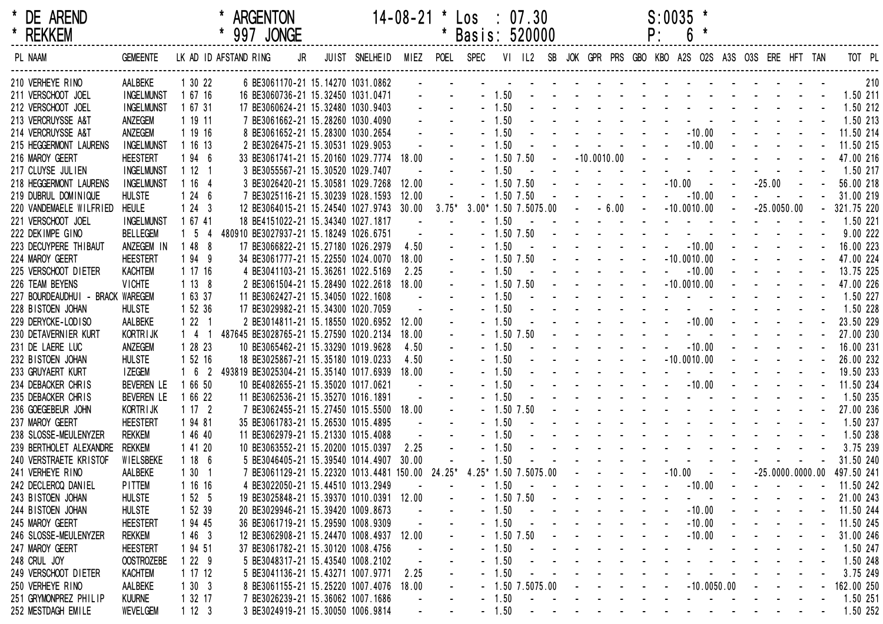|         | * DE AREND<br>* REKKEM           |                   |                       | * ARGENTON<br>* 997 JONGE                                                                                               |  |                                  |              |               | $14-08-21$ * $\text{Los}$ : 07.30<br>* Basis: 520000 |         |                                                                                                                                                                                                                               |  |                                            | $S:0035$ *<br>P: |               | $6*$                                      |                                                                                                                                                                                                                                |                                                                                           |            |                   |        |
|---------|----------------------------------|-------------------|-----------------------|-------------------------------------------------------------------------------------------------------------------------|--|----------------------------------|--------------|---------------|------------------------------------------------------|---------|-------------------------------------------------------------------------------------------------------------------------------------------------------------------------------------------------------------------------------|--|--------------------------------------------|------------------|---------------|-------------------------------------------|--------------------------------------------------------------------------------------------------------------------------------------------------------------------------------------------------------------------------------|-------------------------------------------------------------------------------------------|------------|-------------------|--------|
| PL NAAM |                                  | <b>GEMEENTE</b>   | LK AD ID AFSTAND RING |                                                                                                                         |  | JR JUIST SNELHEID MIEZ POEL SPEC |              |               |                                                      |         | VI IL2 SB JOK GPR PRS GBO KBO A2S O2S A3S O3S ERE HFT TAN                                                                                                                                                                     |  |                                            |                  |               |                                           |                                                                                                                                                                                                                                |                                                                                           |            |                   | TOT PL |
|         | 210 VERHEYE RINO                 | AALBEKE           | 1 30 22               | 6 BE3061170-21 15.14270 1031.0862                                                                                       |  |                                  |              |               |                                                      |         |                                                                                                                                                                                                                               |  |                                            |                  |               |                                           |                                                                                                                                                                                                                                |                                                                                           |            |                   | 210    |
|         | 211 VERSCHOOT JOEL               | <b>INGELMUNST</b> | 1 67 16               | 16 BE3060736-21 15.32450 1031.0471                                                                                      |  |                                  |              |               | $\Delta \sim 100$                                    |         | $-1.50$ . The set of the set of the set of the set of the set of the set of the set of the set of the set of the set of the set of the set of the set of the set of the set of the set of the set of the set of the set of th |  |                                            |                  |               |                                           |                                                                                                                                                                                                                                |                                                                                           |            | 1.50 211          |        |
|         | 212 VERSCHOOT JOEL               | <b>INGELMUNST</b> | 1 67 31               | 17 BE3060624-21 15.32480 1030.9403                                                                                      |  |                                  |              |               |                                                      | $-1.50$ |                                                                                                                                                                                                                               |  |                                            |                  |               |                                           | the second contract of the second contract of the                                                                                                                                                                              |                                                                                           |            | 1.50 212          |        |
|         | 213 VERCRUYSSE A&T               | ANZEGEM           | 1 19 11               | 7 BE3061662-21 15.28260 1030.4090                                                                                       |  |                                  |              |               |                                                      | $-1.50$ |                                                                                                                                                                                                                               |  |                                            |                  |               |                                           | the second contract of the second contract of the second contract of the second contract of the second contract of the second contract of the second contract of the second contract of the second contract of the second cont |                                                                                           |            | 1.50 213          |        |
|         | 214 VERCRUYSSE A&T               | ANZEGEM           | 1 19 16               | 8 BE3061652-21 15.28300 1030.2654                                                                                       |  |                                  | $\sim$       | $\sim$        |                                                      | $-1.50$ |                                                                                                                                                                                                                               |  |                                            |                  |               |                                           |                                                                                                                                                                                                                                |                                                                                           |            | 11.50 214         |        |
|         | 215 HEGGERMONT LAURENS           | <b>INGELMUNST</b> | 1 16 13               | 2 BE3026475-21 15.30531 1029.9053                                                                                       |  |                                  |              | $\Delta \sim$ |                                                      | $-1.50$ |                                                                                                                                                                                                                               |  |                                            |                  |               |                                           | . 10.00 <b>.</b>                                                                                                                                                                                                               |                                                                                           |            | 11.50 215         |        |
|         | 216 MAROY GEERT                  | <b>HEESTERT</b>   | 194 6                 | 33 BE3061741-21 15.20160 1029.7774                                                                                      |  |                                  | 18.00        | $\Delta \sim$ |                                                      |         | $-1.50$ $7.50$                                                                                                                                                                                                                |  |                                            |                  |               |                                           | $ -10.0010.00$ $        -$<br>the contract of the contract of the contract of                                                                                                                                                  |                                                                                           |            | 47.00 216         |        |
|         | 217 CLUYSE JULIEN                | <b>INGELMUNST</b> | 1121                  | 3 BE3055567-21 15.30520 1029.7407                                                                                       |  |                                  |              |               |                                                      | $-1.50$ | $\sim$ $\sim$                                                                                                                                                                                                                 |  |                                            |                  |               |                                           |                                                                                                                                                                                                                                |                                                                                           |            | 1.50 217          |        |
|         | 218 HEGGERMONT LAURENS           | <b>INGELMUNST</b> | 1 16 4                | 3 BE3026420-21 15.30581 1029.7268                                                                                       |  |                                  | 12.00        | $\sim$        |                                                      |         | $-1.50$ $7.50$                                                                                                                                                                                                                |  | and the state of the state of the          |                  |               |                                           | $-10.00 - -$                                                                                                                                                                                                                   | $-25.00 -$                                                                                |            | 56.00 218         |        |
|         | 219 DUBRUL DOMINIQUE             | <b>HULSTE</b>     | 1246                  | 7 BE3025116-21 15.30239 1028.1593                                                                                       |  |                                  | 12.00        |               |                                                      |         | $-1.50$ $7.50$                                                                                                                                                                                                                |  |                                            |                  |               | $-10.00$                                  |                                                                                                                                                                                                                                |                                                                                           |            | 31.00 219         |        |
|         | 220 VANDEMAELE WILFRIED          | <b>HEULE</b>      | 1243                  | 12 BE3064015-21 15.24540 1027.9743                                                                                      |  |                                  | 30.00        | $3.75*$       |                                                      |         | $3.00*$ 1.50 7.5075.00 - - 6.00 - -10.0010.00                                                                                                                                                                                 |  |                                            |                  |               |                                           | $\Delta \sim 10^4$                                                                                                                                                                                                             | $-25.0050.00$                                                                             |            | $-321.75220$      |        |
|         | 221 VERSCHOOT JOEL               | <b>INGELMUNST</b> | 1 67 41               | 18 BE4151022-21 15.34340 1027.1817                                                                                      |  |                                  | $\sim$       |               |                                                      | $-1.50$ |                                                                                                                                                                                                                               |  |                                            |                  |               |                                           | the contract of the contract of the contract of<br>the contract of the contract of the contract of the                                                                                                                         |                                                                                           |            | 1.50 221          |        |
|         | 222 DEKIMPE GINO                 | <b>BELLEGEM</b>   | $1\quad5$             | 480910 BE3027937-21 15.18249 1026.6751                                                                                  |  |                                  | $\sim 10$    | $\Delta \phi$ |                                                      |         | $-1.50$ 7.50                                                                                                                                                                                                                  |  |                                            |                  |               |                                           |                                                                                                                                                                                                                                | $\mathbf{L}^{\text{max}}$ , and $\mathbf{L}^{\text{max}}$ , and $\mathbf{L}^{\text{max}}$ |            | 9.00222           |        |
|         | 223 DECUYPERE THIBAUT            | ANZEGEM IN        | 1 48 8                | 17 BE3066822-21 15.27180 1026.2979                                                                                      |  |                                  | 4.50         | $\Delta \phi$ |                                                      | $-1.50$ | $\sim$ $\sim$                                                                                                                                                                                                                 |  | $        10.00$                            |                  |               |                                           |                                                                                                                                                                                                                                |                                                                                           |            | 16.00 223         |        |
|         | 224 MAROY GEERT                  | <b>HEESTERT</b>   | 1949                  | 34 BE3061777-21 15.22550 1024.0070                                                                                      |  |                                  | 18.00        | $\omega$ .    |                                                      |         | $-1.50$ $7.50$                                                                                                                                                                                                                |  | and the state of the state of the state of |                  | $-10.0010.00$ |                                           |                                                                                                                                                                                                                                | $\mathbf{r} = \mathbf{r} \cdot \mathbf{r} = \mathbf{r} \cdot \mathbf{r}$                  |            | 47.00 224         |        |
|         | 225 VERSCHOOT DIETER             | <b>KACHTEM</b>    | 1 17 16               | 4 BE3041103-21 15.36261 1022.5169                                                                                       |  |                                  | 2.25         |               |                                                      | $-1.50$ | $\sim$ $\sim$                                                                                                                                                                                                                 |  | الموارد والمستنبذ والمستنبذ والمستنبذ      |                  | $- 10.00$     |                                           |                                                                                                                                                                                                                                |                                                                                           |            | 13.75 225         |        |
|         | 226 TEAM BEYENS                  | <b>VICHTE</b>     | 1138                  | 2 BE3061504-21 15.28490 1022.2618                                                                                       |  |                                  | 18.00        |               |                                                      |         | $-1.50$ $7.50$                                                                                                                                                                                                                |  | and the state of the state of              |                  | $-10.0010.00$ |                                           |                                                                                                                                                                                                                                |                                                                                           |            | 47.00 226         |        |
|         | 227 BOURDEAUDHUI - BRACK WAREGEM |                   | 1 63 37               | 11 BE3062427-21 15.34050 1022.1608                                                                                      |  |                                  | $\sim$       |               |                                                      | $-1.50$ |                                                                                                                                                                                                                               |  |                                            |                  |               |                                           | the contract of the contract of the contract of the                                                                                                                                                                            |                                                                                           |            | 1.50 227          |        |
|         | 228 BISTOEN JOHAN                | <b>HULSTE</b>     | 1 52 36               | 17 BE3029982-21 15.34300 1020.7059                                                                                      |  |                                  |              |               |                                                      | $-1.50$ |                                                                                                                                                                                                                               |  |                                            |                  |               |                                           | the contract of the contract of the contract of the                                                                                                                                                                            |                                                                                           |            | 1.50 228          |        |
|         | 229 DERYCKE-LODISO               | AALBEKE           | 1221                  | 2 BE3014811-21 15.18550 1020.6952                                                                                       |  |                                  | 12.00        |               |                                                      | $-1.50$ |                                                                                                                                                                                                                               |  |                                            |                  |               |                                           |                                                                                                                                                                                                                                |                                                                                           |            | 23.50 229         |        |
|         | 230 DETAVERNIER KURT             | <b>KORTRIJK</b>   | $1 \quad 4 \quad 1$   | 487645 BE3028765-21 15.27590 1020.2134                                                                                  |  |                                  | 18.00        |               |                                                      |         | $-1.50$ $7.50$                                                                                                                                                                                                                |  |                                            |                  |               |                                           | the contract of the contract of the contract of the contract of the contract of the contract of the contract of                                                                                                                |                                                                                           |            | 27.00 230         |        |
|         | 231 DE LAERE LUC                 | ANZEGEM           | 1 28 23               | 10 BE3065462-21 15.33290 1019.9628                                                                                      |  |                                  | 4.50         |               |                                                      | $-1.50$ |                                                                                                                                                                                                                               |  | and the state of the state of the          |                  |               | $-10.00$                                  |                                                                                                                                                                                                                                |                                                                                           |            | 16.00 231         |        |
|         | 232 BISTOEN JOHAN                | <b>HULSTE</b>     | 1 52 16               | 18 BE3025867-21 15.35180 1019.0233                                                                                      |  |                                  | 4.50         |               |                                                      | $-1.50$ |                                                                                                                                                                                                                               |  | $      10.0010.00$                         |                  |               |                                           |                                                                                                                                                                                                                                |                                                                                           |            | 26.00 232         |        |
|         | 233 GRUYAERT KURT                | I ZEGEM           | $162$                 | 493819 BE3025304-21 15.35140 1017.6939                                                                                  |  |                                  | 18.00        |               |                                                      | $-1.50$ |                                                                                                                                                                                                                               |  |                                            |                  |               |                                           | and a series of the series of the series of the                                                                                                                                                                                |                                                                                           |            | 19.50 233         |        |
|         | 234 DEBACKER CHRIS               | <b>BEVEREN LE</b> | 1 66 50               | 10 BE4082655-21 15.35020 1017.0621                                                                                      |  |                                  | $\sim 100$   |               |                                                      | $-1.50$ |                                                                                                                                                                                                                               |  |                                            |                  |               |                                           |                                                                                                                                                                                                                                |                                                                                           |            | 11.50 234         |        |
|         | 235 DEBACKER CHRIS               | <b>BEVEREN LE</b> | 1 66 22               | 11 BE3062536-21 15.35270 1016.1891                                                                                      |  |                                  |              |               |                                                      | $-1.50$ |                                                                                                                                                                                                                               |  |                                            |                  |               |                                           | design and a state of the state of the state of                                                                                                                                                                                |                                                                                           |            | 1.50 235          |        |
|         | 236 GOEGEBEUR JOHN               | KORTR I JK        | 1172                  | 7 BE3062455-21 15.27450 1015.5500                                                                                       |  |                                  | 18.00        |               |                                                      |         | $-1.50$ $7.50$                                                                                                                                                                                                                |  |                                            |                  |               |                                           | the second contract of the second contract of the second contract of the second contract of the second contract of the second contract of the second contract of the second contract of the second contract of the second cont |                                                                                           |            | 27.00 236         |        |
|         | 237 MAROY GEERT                  | <b>HEESTERT</b>   | 1 94 81               | 35 BE3061783-21 15.26530 1015.4895                                                                                      |  |                                  | $\sim 100$   |               |                                                      | $-1.50$ |                                                                                                                                                                                                                               |  |                                            |                  |               |                                           | the contract of the contract of the contract of the contract of the contract of the contract of the contract of                                                                                                                |                                                                                           |            | 1.50 237          |        |
|         | 238 SLOSSE-MEULENYZER            | rekkem            | 1 46 40               | 11 BE3062979-21 15.21330 1015.4088                                                                                      |  |                                  | $\mathbf{u}$ |               |                                                      | $-1.50$ |                                                                                                                                                                                                                               |  |                                            |                  |               |                                           | the second contract of the second contract of the                                                                                                                                                                              |                                                                                           |            | 1.50 238          |        |
|         | 239 BERTHOLET ALEXANDRE          | rekkem            | 1 41 20               | 10 BE3063552-21 15.20200 1015.0397                                                                                      |  |                                  | 2.25         |               |                                                      | $-1.50$ |                                                                                                                                                                                                                               |  |                                            |                  |               |                                           | the second contract of the second contract of the second second contract of the second second second second second second second second second second second second second second second second second second second second se |                                                                                           |            | 3.75 239          |        |
|         | 240 VERSTRAETE KRISTOF           | WIELSBEKE         | 1186                  | 5 BE3046405-21 15.39540 1014.4907                                                                                       |  |                                  | 30.00        |               |                                                      | $-1.50$ |                                                                                                                                                                                                                               |  |                                            |                  |               |                                           | and a state of the state of the state of the                                                                                                                                                                                   |                                                                                           |            | 31.50 240         |        |
|         | 241 VERHEYE RINO                 | AALBEKE           | 1301                  | 7 BE3061129-21 15.22320 1013.4481 150.00 24.25* 4.25* 1.50 7.5075.00 - - - - - - -10.00 - - -25.0000.0000.00 497.50 241 |  |                                  |              |               |                                                      |         |                                                                                                                                                                                                                               |  |                                            |                  |               |                                           |                                                                                                                                                                                                                                |                                                                                           |            |                   |        |
|         | 242 DECLERCQ DANIEL              | PITTEM            | 1 16 16               | 4 BE3022050-21 15.44510 1013.2949                                                                                       |  |                                  |              |               |                                                      |         | $-1.50$ $       -$                                                                                                                                                                                                            |  |                                            |                  |               |                                           | $-10.00$ $   -$                                                                                                                                                                                                                |                                                                                           |            | $-11.50242$       |        |
|         | 243 BISTOEN JOHAN                | <b>HULSTE</b>     | 1 52 5                | 19 BE3025848-21 15.39370 1010.0391 12.00                                                                                |  |                                  |              |               |                                                      |         | $-1.50$ $7.50$                                                                                                                                                                                                                |  | and the state of the state of              |                  |               | $\omega_{\rm{max}}$ , $\omega_{\rm{max}}$ |                                                                                                                                                                                                                                | and a straight and                                                                        |            | 21.00 243         |        |
|         | 244 BISTOEN JOHAN                | <b>HULSTE</b>     | 1 52 39               | 20 BE3029946-21 15.39420 1009.8673                                                                                      |  |                                  |              |               |                                                      | $-1.50$ | and the state of the state of the                                                                                                                                                                                             |  |                                            |                  |               |                                           | $-10.00$ $  -$                                                                                                                                                                                                                 |                                                                                           |            | 11.50 244         |        |
|         | 245 MAROY GEERT                  | <b>HEESTERT</b>   | 1 94 45               | 36 BE3061719-21 15.29590 1008.9309                                                                                      |  |                                  |              |               |                                                      | $-1.50$ | and the company of the company of                                                                                                                                                                                             |  |                                            |                  |               | $-10.00$                                  |                                                                                                                                                                                                                                | <b>Service Control</b>                                                                    | $\sim 100$ | 11.50 245         |        |
|         | 246 SLOSSE-MEULENYZER            | Rekkem            | 1 46 3                | 12 BE3062908-21 15.24470 1008.4937 12.00                                                                                |  |                                  |              |               |                                                      |         | $-1.50$ $7.50$                                                                                                                                                                                                                |  | الموارد والمتوارد والمتوارد والمتوارد      |                  |               | $-10.00$                                  | and the state of the state of                                                                                                                                                                                                  |                                                                                           |            | 31.00 246         |        |
|         | 247 MAROY GEERT                  | <b>HEESTERT</b>   | 1 94 51               | 37 BE3061782-21 15.30120 1008.4756                                                                                      |  |                                  |              |               |                                                      | $-1.50$ | والموارد والموارد والموارد والموارد                                                                                                                                                                                           |  |                                            |                  |               |                                           | and a straightful and a straight                                                                                                                                                                                               |                                                                                           |            | 1.50 247          |        |
|         | 248 CRUL JOY                     | <b>OOSTROZEBE</b> | 1229                  | 5 BE3048317-21 15.43540 1008.2102                                                                                       |  |                                  |              |               |                                                      | $-1.50$ |                                                                                                                                                                                                                               |  |                                            |                  |               |                                           | the contract of the contract of the contract of                                                                                                                                                                                |                                                                                           |            | 1.50 248          |        |
|         | 249 VERSCHOOT DIETER             | <b>KACHTEM</b>    | 1 17 12               | 5 BE3041136-21 15.43271 1007.9771                                                                                       |  |                                  | 2.25         |               |                                                      | $-1.50$ |                                                                                                                                                                                                                               |  |                                            |                  |               |                                           | the contract of the contract of the contract of the                                                                                                                                                                            |                                                                                           |            | 3.75 249          |        |
|         | 250 VERHEYE RINO                 | AALBEKE           | 1303                  | 8 BE3061155-21 15.25220 1007.4076 18.00                                                                                 |  |                                  |              |               |                                                      |         | $-1.50$ 7.5075.00 $    -10.0050.00$ $   -$ 162.00 250                                                                                                                                                                         |  |                                            |                  |               |                                           |                                                                                                                                                                                                                                |                                                                                           |            |                   |        |
|         | 251 GRYMONPREZ PHILIP            | KUURNE            | 1 32 17               | 7 BE3026239-21 15.36062 1007.1686                                                                                       |  |                                  |              |               |                                                      | $-1.50$ |                                                                                                                                                                                                                               |  |                                            |                  |               |                                           |                                                                                                                                                                                                                                |                                                                                           |            | <u>.</u> 1.50 251 |        |
|         | 252 MESTDAGH EMILE               | WEVELGEM          | 1123                  | 3 BE3024919-21 15.30050 1006.9814                                                                                       |  |                                  |              |               |                                                      |         |                                                                                                                                                                                                                               |  |                                            |                  |               |                                           |                                                                                                                                                                                                                                |                                                                                           |            |                   |        |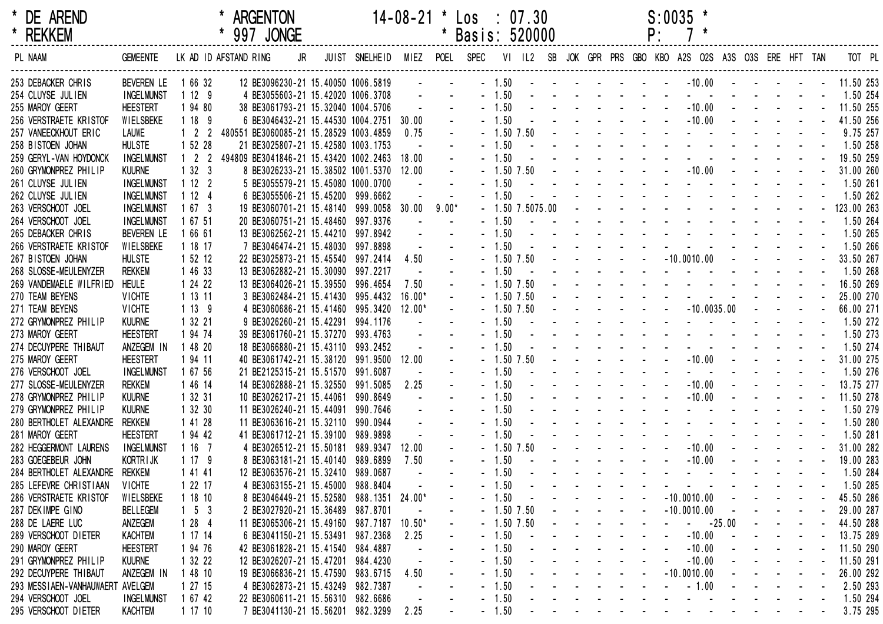| DE AREND<br>$\ast$<br><b>REKKEM</b><br>$\star$ |                   |                             | $*997$ | <b>ARGENTON</b><br><b>JONGE</b>        |                               | $14 - 08 - 21$ |         | Los :<br>Basis: 520000 |              | 07.30             |  |  | $S:0035$ *                                         |  |  |            |          |
|------------------------------------------------|-------------------|-----------------------------|--------|----------------------------------------|-------------------------------|----------------|---------|------------------------|--------------|-------------------|--|--|----------------------------------------------------|--|--|------------|----------|
| PL NAAM                                        | <b>GEMEENTE</b>   | LK AD ID AFSTAND RING       |        | JR                                     | JUIST SNELHEID MIEZ POEL SPEC |                |         |                        |              | $VI$ $IL2$        |  |  | SB JOK GPR PRS GBO KBO A2S O2S A3S O3S ERE HFT TAN |  |  |            |          |
| 253 DEBACKER CHRIS                             | <b>BEVEREN LE</b> | 1 66 32                     |        | 12 BE3096230-21 15.40050 1006.5819     |                               |                |         |                        | $-1.50$      |                   |  |  | $-10.00$                                           |  |  | 11.50 253  |          |
| 254 CLUYSE JULIEN                              | <b>INGELMUNST</b> | 1129                        |        | 4 BE3055603-21 15.42020 1006.3708      |                               |                |         |                        | $-1.50$      |                   |  |  |                                                    |  |  | 1.50 254   |          |
| 255 MAROY GEERT                                | <b>HEESTERT</b>   | 1 94 80                     |        | 38 BE3061793-21 15.32040 1004.5706     |                               |                |         | $-1.50$                |              |                   |  |  | $-10.00$                                           |  |  | 11.50 255  |          |
| 256 VERSTRAETE KRISTOF                         | WIELSBEKE         | 1189                        |        | 6 BE3046432-21 15.44530 1004.2751      |                               | 30.00          |         |                        | $-1.50$      |                   |  |  | $-10.00$                                           |  |  | 41.50 256  |          |
| 257 VANEECKHOUT ERIC                           | <b>LAUWE</b>      | $1\quad 2$                  |        | 480551 BE3060085-21 15.28529 1003.4859 |                               | 0.75           |         |                        | $-1.50$ 7.50 |                   |  |  |                                                    |  |  | 9.75 257   |          |
| 258 BISTOEN JOHAN                              | <b>HULSTE</b>     | 1 52 28                     |        | 21 BE3025807-21 15.42580 1003.1753     |                               |                |         | $-1.50$                |              |                   |  |  |                                                    |  |  | 1.50 258   |          |
| 259 GERYL-VAN HOYDONCK                         | <b>INGELMUNST</b> | $1\quad2$<br>$\overline{2}$ |        | 494809 BE3041846-21 15.43420 1002.2463 |                               | 18.00          |         | $-1.50$                |              |                   |  |  |                                                    |  |  | 19.50 259  |          |
| 260 GRYMONPREZ PHILIP                          | <b>KUURNE</b>     | 1323                        |        | 8 BE3026233-21 15.38502 1001.5370      |                               | 12.00          |         |                        | $-1.50$ 7.50 |                   |  |  | $ -10.00$ $ -$                                     |  |  | 31.00 260  |          |
| 261 CLUYSE JULIEN                              | <b>INGELMUNST</b> | 1122                        |        | 5 BE3055579-21 15.45080 1000.0700      |                               |                |         | $-1.50$                |              |                   |  |  |                                                    |  |  | 1.50 261   |          |
| 262 CLUYSE JULIEN                              | <b>INGELMUNST</b> | 1124                        |        | 6 BE3055506-21 15.45200                | 999.6662                      |                |         | $-1.50$                |              |                   |  |  |                                                    |  |  | 1.50 262   |          |
| 263 VERSCHOOT JOEL                             | <b>INGELMUNST</b> | 1673                        |        | 19 BE3060701-21 15.48140               | 999.0058                      | 30.00          | $9.00*$ |                        |              | $-1.50$ 7.5075.00 |  |  |                                                    |  |  | 123.00 263 |          |
| 264 VERSCHOOT JOEL                             | <b>INGELMUNST</b> | 1 67 51                     |        | 20 BE3060751-21 15.48460               | 997.9376                      |                |         | $-1.50$                |              |                   |  |  |                                                    |  |  | 1.50 264   |          |
| 265 DEBACKER CHRIS                             | <b>BEVEREN LE</b> | 1 66 61                     |        | 13 BE3062562-21 15.44210               | 997.8942                      |                |         |                        | $-1.50$      |                   |  |  |                                                    |  |  | 1.50 265   |          |
| 266 VERSTRAETE KRISTOF                         | WIELSBEKE         | 1 18 17                     |        | 7 BE3046474-21 15.48030                | 997.8898                      |                |         | $-1.50$                |              |                   |  |  |                                                    |  |  | 1.50 266   |          |
| 267 BISTOEN JOHAN                              | <b>HULSTE</b>     | 1 52 12                     |        | 22 BE3025873-21 15.45540               | 997.2414                      | 4.50           |         |                        | $-1.50$ 7.50 |                   |  |  | $-10.0010.00$                                      |  |  | 33.50 267  |          |
| 268 SLOSSE-MEULENYZER                          | <b>REKKEM</b>     | 1 46 33                     |        | 13 BE3062882-21 15.30090               | 997.2217                      |                |         | $-1.50$                |              |                   |  |  | the company of the company of the company          |  |  | 1.50 268   |          |
| 269 VANDEMAELE WILFRIED                        | <b>HEULE</b>      | 1 24 22                     |        | 13 BE3064026-21 15.39550               | 996.4654                      | 7.50           |         |                        | $-1.50$ 7.50 |                   |  |  | and the contract of the second service             |  |  | 16.50 269  |          |
| 270 TEAM BEYENS                                | <b>VICHTE</b>     | 1 13 11                     |        | 3 BE3062484-21 15.41430                | 995.4432                      | $16.00*$       |         |                        | $-1.50$ 7.50 |                   |  |  |                                                    |  |  | 25.00 270  |          |
| 271 TEAM BEYENS                                | <b>VICHTE</b>     | 1139                        |        | 4 BE3060686-21 15.41460                | 995.3420                      | $12.00*$       |         |                        | $-1.50$ 7.50 |                   |  |  | $- 10.0035.00 -$                                   |  |  | 66.00 271  |          |
| 272 GRYMONPREZ PHILIP                          | <b>KUURNE</b>     | 1 32 21                     |        | 9 BE3026260-21 15.42291                | 994.1176                      |                |         | $-1.50$                |              |                   |  |  |                                                    |  |  | 1.50 272   |          |
| 273 MAROY GEERT                                | <b>HEESTERT</b>   | 1 94 74                     |        | 39 BE3061760-21 15.37270               | 993.4763                      |                |         | $-1.50$                |              |                   |  |  |                                                    |  |  | 1.50 273   |          |
| 274 DECUYPERE THIBAUT                          | ANZEGEM IN        | 1 48 20                     |        | 18 BE3066880-21 15.43110               | 993.2452                      |                |         | $-1.50$                |              |                   |  |  |                                                    |  |  | 1.50 274   |          |
| 275 MAROY GEERT                                | <b>HEESTERT</b>   | 1 94 11                     |        | 40 BE3061742-21 15.38120               | 991.9500 12.00                |                |         |                        | $-1.50$ 7.50 |                   |  |  | $-10.00$                                           |  |  | 31.00 275  |          |
| 276 VERSCHOOT JOEL                             | <b>INGELMUNST</b> | 1 67 56                     |        | 21 BE2125315-21 15.51570               | 991.6087                      |                |         | $-1.50$                |              |                   |  |  |                                                    |  |  | 1.50 276   |          |
| 277 SLOSSE-MEULENYZER                          | <b>REKKEM</b>     | 1 46 14                     |        | 14 BE3062888-21 15.32550               | 991.5085                      | 2.25           |         | $-1.50$                |              |                   |  |  | $-10.00$                                           |  |  | 13.75 277  |          |
| 278 GRYMONPREZ PHILIP                          | <b>KUURNE</b>     | 1 32 31                     |        | 10 BE3026217-21 15.44061               | 990.8649                      |                |         | $-1.50$                |              |                   |  |  | $-10.00$                                           |  |  | 11.50 278  |          |
| 279 GRYMONPREZ PHILIP                          | <b>KUURNE</b>     | 1 32 30                     |        | 11 BE3026240-21 15.44091               | 990.7646                      |                |         | $-1.50$                |              |                   |  |  |                                                    |  |  | 1.50 279   |          |
| 280 BERTHOLET ALEXANDRE                        | <b>REKKEM</b>     | 1 41 28                     |        | 11 BE3063616-21 15.32110               | 990.0944                      |                |         | $-1.50$                |              |                   |  |  |                                                    |  |  | 1.50 280   |          |
| 281 MAROY GEERT                                | <b>HEESTERT</b>   | 1 94 42                     |        | 41 BE3061712-21 15.39100               | 989.9898                      |                |         | $-1.50$                |              |                   |  |  |                                                    |  |  | 1.50 281   |          |
| 282 HEGGERMONT LAURENS                         | <b>INGELMUNST</b> | 1167                        |        | 4 BE3026512-21 15.50181                | 989.9347                      | 12.00          |         |                        | $-1.50$ 7.50 |                   |  |  | $-10.00$                                           |  |  | 31.00 282  |          |
| 283 GOEGEBEUR JOHN                             | <b>KORTRIJK</b>   | 1179                        |        | 8 BE3063181-21 15.40140                | 989.6899                      | 7.50           |         | $-1.50$                |              |                   |  |  | $-10.00$                                           |  |  | 19.00 283  |          |
| 284 BERTHOLET ALEXANDRE                        | <b>REKKEM</b>     | 1 41 41                     |        | 12 BE3063576-21 15.32410               | 989.0687                      |                |         | $-1.50$                |              |                   |  |  |                                                    |  |  | 1.50 284   |          |
| 285 LEFEVRE CHRISTIAAN                         | <b>VICHTE</b>     | 1 22 17                     |        | 4 BE3063155-21 15.45000                | 988.8404                      |                |         |                        | $-1.50$      |                   |  |  |                                                    |  |  | 1.50 285   |          |
| 286 VERSTRAETE KRISTOF                         | WIELSBEKE         | 1 18 10                     |        | 8 BE3046449-21 15.52580                | 988.1351 24.00*               |                |         |                        | $-1.50$      |                   |  |  | $-10.0010.00$                                      |  |  | 45.50 286  |          |
| 287 DEKIMPE GINO                               | <b>BELLEGEM</b>   | $1\quad 5\quad 3$           |        | 2 BE3027920-21 15.36489                | 987.8701                      |                |         |                        | $-1.50$ 7.50 |                   |  |  | $-10.0010.00$                                      |  |  | 29.00 287  |          |
| 288 DE LAERE LUC                               | ANZEGEM           | 1284                        |        | 11 BE3065306-21 15.49160               | 987.7187                      | $10.50*$       |         |                        | $-1.50$ 7.50 |                   |  |  | $-25.00$                                           |  |  | 44.50 288  |          |
| 289 VERSCHOOT DIETER                           | <b>KACHTEM</b>    | 1 17 14                     |        | 6 BE3041150-21 15.53491                | 987.2368                      | 2.25           |         |                        | $-1.50$      |                   |  |  | $-10.00$                                           |  |  | 13.75 289  |          |
| 290 MAROY GEERT                                | <b>HEESTERT</b>   | 1 94 76                     |        | 42 BE3061828-21 15.41540               | 984.4887                      |                |         |                        | $-1.50$      |                   |  |  | $-10.00$                                           |  |  | 11.50 290  |          |
| 291 GRYMONPREZ PHILIP                          | <b>KUURNE</b>     | 1 32 22                     |        | 12 BE3026207-21 15.47201               | 984.4230                      |                |         |                        | $-1.50$      |                   |  |  | $-10.00$                                           |  |  | 11.50 291  |          |
| 292 DECUYPERE THIBAUT                          | ANZEGEM IN        | 1 48 10                     |        | 19 BE3066836-21 15.47590               | 983.6715                      | 4.50           |         |                        | $-1.50$      |                   |  |  | $-10.0010.00$                                      |  |  | 26.00 292  |          |
| 293 MESSIAEN-VANHAUWAERT AVELGEM               |                   | 1 27 15                     |        | 4 BE3062873-21 15.43249 982.7387       |                               |                |         |                        | $-1.50$      |                   |  |  | $-1.00$                                            |  |  | 2.50 293   |          |
| 294 VERSCHOOT JOEL                             | <b>INGELMUNST</b> | 1 67 42                     |        | 22 BE3060611-21 15.56310 982.6686      |                               |                |         |                        | $-1.50$      |                   |  |  |                                                    |  |  | 1.50 294   |          |
| 295 VERSCHOOT DIETER                           | <b>KACHTEM</b>    | 11710                       |        | 7 BE3041130-21 15.56201 982.3299       |                               | 2.25           |         |                        | $-1.50$      |                   |  |  |                                                    |  |  |            | 3.75 295 |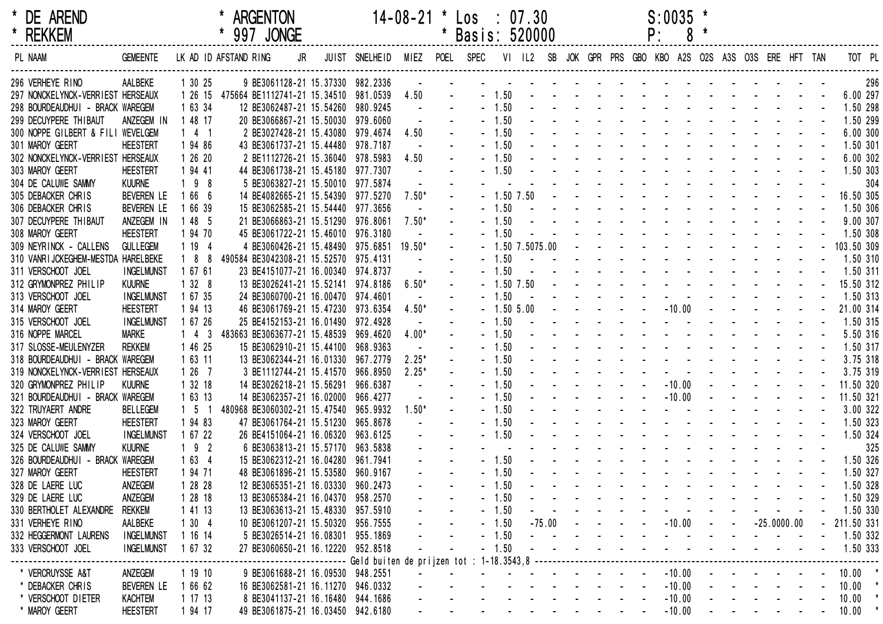| * DE AREND<br>* REKKEM             |                   |                       | <b>ARGENTON</b><br>997 JONGE                  |                | $14 - 08 - 21$ | $\textsf{Los} : 07.30$<br>Basis: 520000 |         |                   |  |  | P: | $S:0035$ *                                                                                                                                                                                                                     | 8 |                                      |  |              |     |
|------------------------------------|-------------------|-----------------------|-----------------------------------------------|----------------|----------------|-----------------------------------------|---------|-------------------|--|--|----|--------------------------------------------------------------------------------------------------------------------------------------------------------------------------------------------------------------------------------|---|--------------------------------------|--|--------------|-----|
| PL NAAM                            | <b>GEMEENTE</b>   | LK AD ID AFSTAND RING | JR                                            | JUIST SNELHEID | MIEZ           | POEL SPEC                               |         | VI IL2 SB         |  |  |    | JOK GPR PRS GBO KBO A2S O2S A3S O3S ERE HFT TAN                                                                                                                                                                                |   |                                      |  | TOT PL       |     |
| 296 VERHEYE RINO                   | AALBEKE           | 1 30 25               | 9 BE3061128-21 15.37330 982.2336              |                |                |                                         |         |                   |  |  |    | the contract of the contract of the contract of                                                                                                                                                                                |   |                                      |  |              | 296 |
| 297 NONCKELYNCK-VERRIEST HERSEAUX  |                   |                       | 1 26 15 475664 BE1112741-21 15.34510 981.0539 |                | 4.50           |                                         | $-1.50$ |                   |  |  |    |                                                                                                                                                                                                                                |   |                                      |  | 6.00 297     |     |
| 298 BOURDEAUDHUI - BRACK WAREGEM   |                   | 1 63 34               | 12 BE3062487-21 15.54260 980.9245             |                |                |                                         | $-1.50$ |                   |  |  |    | and a state of the state of the state of the                                                                                                                                                                                   |   |                                      |  | 1.50 298     |     |
| 299 DECUYPERE THIBAUT              | ANZEGEM IN        | 1 48 17               | 20 BE3066867-21 15.50030 979.6060             |                |                |                                         | $-1.50$ |                   |  |  |    |                                                                                                                                                                                                                                |   |                                      |  | 1.50 299     |     |
| 300 NOPPE GILBERT & FILI WEVELGEM  |                   | $1 \quad 4 \quad 1$   | 2 BE3027428-21 15.43080 979.4674              |                | 4.50           |                                         | $-1.50$ |                   |  |  |    | the contract of the contract of the contract of the contract of the contract of the contract of the contract of                                                                                                                |   |                                      |  | 6.00 300     |     |
| 301 MAROY GEERT                    | <b>HEESTERT</b>   | 1 94 86               | 43 BE3061737-21 15.44480 978.7187             |                |                |                                         | $-1.50$ |                   |  |  |    | the contract of the contract of the contract of the contract of the contract of the contract of the contract of                                                                                                                |   |                                      |  | 1.50 301     |     |
| 302 NONCKELYNCK-VERRIEST HERSEAUX  |                   | 1 26 20               | 2 BE1112726-21 15.36040 978.5983              |                | 4.50           |                                         | $-1.50$ |                   |  |  |    | and the state of the state of the state of the state of the state of the state of the state of the state of the                                                                                                                |   |                                      |  | 6.00 302     |     |
| 303 MAROY GEERT                    | <b>HEESTERT</b>   | 1 94 41               | 44 BE3061738-21 15.45180 977.7307             |                |                |                                         | $-1.50$ |                   |  |  |    | the contract of the contract of the                                                                                                                                                                                            |   |                                      |  | 1.50 303     |     |
| 304 DE CALUWE SAMMY                | <b>KUURNE</b>     | $198$                 | 5 BE3063827-21 15.50010 977.5874              |                |                |                                         |         |                   |  |  |    |                                                                                                                                                                                                                                |   |                                      |  |              | 304 |
| 305 DEBACKER CHRIS                 | <b>BEVEREN LE</b> | 1 66 6                | 14 BE4082665-21 15.54390 977.5270             |                | $7.50*$        |                                         |         | $-1.50$ 7.50      |  |  |    | the contract of the contract of the contract of the contract of the contract of the contract of the contract of                                                                                                                |   |                                      |  | 16.50 305    |     |
| 306 DEBACKER CHRIS                 | <b>BEVEREN LE</b> | 1 66 39               | 15 BE3062585-21 15.54440 977.3656             |                |                |                                         | $-1.50$ |                   |  |  |    | the contract of the contract of the contract of the contract of the contract of the contract of the contract of the contract of the contract of the contract of the contract of the contract of the contract of the contract o |   |                                      |  | 1.50 306     |     |
| 307 DECUYPERE THIBAUT              | ANZEGEM IN        | 1 48 5                | 21 BE3066863-21 15.51290 976.8061             |                | $7.50*$        |                                         | $-1.50$ |                   |  |  |    | the second contract of the second contract of                                                                                                                                                                                  |   |                                      |  | 9.00 307     |     |
| 308 MAROY GEERT                    | <b>HEESTERT</b>   | 1 94 70               | 45 BE3061722-21 15.46010 976.3180             |                |                |                                         | $-1.50$ |                   |  |  |    | the contract of the contract of the contract of the contract of the contract of the contract of the contract of                                                                                                                |   |                                      |  | 1.50 308     |     |
| 309 NEYRINCK - CALLENS             | <b>GULLEGEM</b>   | 119                   | 4 BE3060426-21 15.48490 975.6851              |                | $19.50*$       |                                         |         | $-1.50$ 7.5075.00 |  |  |    | and the state of the state of the state of                                                                                                                                                                                     |   |                                      |  | 103.50 309   |     |
| 310 VANRIJCKEGHEM-MESTDA HARELBEKE |                   |                       | 1 8 8 490584 BE3042308-21 15.52570 975.4131   |                |                |                                         | $-1.50$ |                   |  |  |    | and the state of the state of the state of the state of the state of the state of the state of the state of the                                                                                                                |   |                                      |  | 1.50 310     |     |
| 311 VERSCHOOT JOEL                 | <b>INGELMUNST</b> | 1 67 61               | 23 BE4151077-21 16.00340 974.8737             |                |                |                                         | $-1.50$ |                   |  |  |    | the contract of the contract of the contract of                                                                                                                                                                                |   |                                      |  | 1.50 311     |     |
| 312 GRYMONPREZ PHILIP              | <b>KUURNE</b>     | 1328                  | 13 BE3026241-21 15.52141 974.8186             |                | $6.50*$        |                                         |         | $-1.50$ 7.50      |  |  |    | and the state of the state of the state of the                                                                                                                                                                                 |   |                                      |  | 15.50 312    |     |
| 313 VERSCHOOT JOEL                 | <b>INGELMUNST</b> | 1 67 35               | 24 BE3060700-21 16.00470 974.4601             |                |                |                                         | $-1.50$ |                   |  |  |    |                                                                                                                                                                                                                                |   |                                      |  | 1.50 313     |     |
| 314 MAROY GEERT                    | <b>HEESTERT</b>   | 1 94 13               | 46 BE3061769-21 15.47230 973.6354             |                | $4.50*$        |                                         |         | $-1.505.00$       |  |  |    | $-10.00$                                                                                                                                                                                                                       |   |                                      |  | 21.00 314    |     |
| 315 VERSCHOOT JOEL                 | <b>INGELMUNST</b> | 1 67 26               | 25 BE4152153-21 16.01490 972.4928             |                |                |                                         | $-1.50$ |                   |  |  |    | and the state of the state of the                                                                                                                                                                                              |   |                                      |  | 1.50 315     |     |
| 316 NOPPE MARCEL                   | Marke             | 43                    | 483663 BE3063677-21 15.48539 969.4620         |                | $4.00*$        |                                         | $-1.50$ |                   |  |  |    | the second contract of the second contract of                                                                                                                                                                                  |   |                                      |  | 5.50 316     |     |
| 317 SLOSSE-MEULENYZER              | <b>REKKEM</b>     | 1 46 25               | 15 BE3062910-21 15.44100 968.9363             |                |                |                                         | $-1.50$ |                   |  |  |    | the contract of the contract of the contract of the contract of the contract of the contract of the contract of                                                                                                                |   |                                      |  | 1.50 317     |     |
| 318 BOURDEAUDHUI - BRACK WAREGEM   |                   | 1 63 11               | 13 BE3062344-21 16.01330 967.2779             |                | $2.25*$        |                                         | $-1.50$ |                   |  |  |    | the contract of the contract of the contract of the contract of the contract of the contract of the contract of                                                                                                                |   |                                      |  | 3.75 318     |     |
| 319 NONCKELYNCK-VERRIEST HERSEAUX  |                   | 1267                  | 3 BE1112744-21 15.41570 966.8950              |                | $2.25*$        |                                         | $-1.50$ |                   |  |  |    |                                                                                                                                                                                                                                |   |                                      |  | 3.75 319     |     |
| 320 GRYMONPREZ PHILIP              | <b>KUURNE</b>     | 1 32 18               | 14 BE3026218-21 15.56291                      | 966.6387       |                |                                         | $-1.50$ |                   |  |  |    | $-10.00$                                                                                                                                                                                                                       |   |                                      |  | 11.50 320    |     |
| 321 BOURDEAUDHUI - BRACK WAREGEM   |                   | 1 63 13               | 14 BE3062357-21 16.02000 966.4277             |                |                |                                         | $-1.50$ |                   |  |  |    | $-10.00$                                                                                                                                                                                                                       |   |                                      |  | 11.50 321    |     |
| 322 TRUYAERT ANDRE                 | <b>BELLEGEM</b>   | - 5                   | 480968 BE3060302-21 15.47540 965.9932         |                | $1.50*$        |                                         | $-1.50$ |                   |  |  |    |                                                                                                                                                                                                                                |   |                                      |  | 3.00 322     |     |
| 323 MAROY GEERT                    | <b>HEESTERT</b>   | 1 94 83               | 47 BE3061764-21 15.51230 965.8678             |                |                |                                         | $-1.50$ |                   |  |  |    | the second contract of the second contract of the second second contract of the second second second second second second second second second second second second second second second second second second second second se |   |                                      |  | 1.50 323     |     |
| 324 VERSCHOOT JOEL                 | <b>INGELMUNST</b> | 1 67 22               | 26 BE4151064-21 16.06320 963.6125             |                |                |                                         | $-1.50$ |                   |  |  |    | the second contract of the second contract of the second contract of the second contract of the second contract of the second contract of the second contract of the second contract of the second contract of the second cont |   |                                      |  | 1.50 324     |     |
| 325 DE CALUWE SAMMY                | <b>KUURNE</b>     | $192$                 | 6 BE3063813-21 15.57170 963.5838              |                |                |                                         |         |                   |  |  |    |                                                                                                                                                                                                                                |   |                                      |  |              | 325 |
| 326 BOURDEAUDHUI - BRACK WAREGEM   |                   | 1634                  | 15 BE3062312-21 16.04280 961.7941             |                |                |                                         | $-1.50$ |                   |  |  |    | and the state of the state of the state of the state of the state of the state of the state of the state of the                                                                                                                |   |                                      |  | 1.50 326     |     |
| 327 MAROY GEERT                    | <b>HEESTERT</b>   | 1 94 71               | 48 BE3061896-21 15.53580 960.9167             |                |                |                                         | $-1.50$ |                   |  |  |    |                                                                                                                                                                                                                                |   |                                      |  | 1.50 327     |     |
| 328 DE LAERE LUC                   | ANZEGEM           | 1 28 28               | 12 BE3065351-21 16.03330 960.2473             |                |                |                                         | $-1.50$ |                   |  |  |    |                                                                                                                                                                                                                                |   |                                      |  | 1.50 328     |     |
| 329 DE LAERE LUC                   | ANZEGEM           | 1 28 18               | 13 BE3065384-21 16.04370 958.2570             |                |                |                                         | $-1.50$ |                   |  |  |    |                                                                                                                                                                                                                                |   |                                      |  | 1.50 329     |     |
| 330 BERTHOLET ALEXANDRE            | <b>REKKEM</b>     | 1 41 13               | 13 BE3063613-21 15.48330 957.5910             |                |                |                                         | $-1.50$ |                   |  |  |    | and a series of the contract of the series of the                                                                                                                                                                              |   |                                      |  | 1.50 330     |     |
| 331 VERHEYE RINO                   | AALBEKE           | 1304                  | 10 BE3061207-21 15.50320 956.7555             |                |                |                                         | $-1.50$ |                   |  |  |    | $-75.00$ $   -10.00$ $  -25.0000.00$                                                                                                                                                                                           |   |                                      |  | $-211.50331$ |     |
| 332 HEGGERMONT LAURENS             | <b>INGELMUNST</b> | 1 16 14               | 5 BE3026514-21 16.08301 955.1869              |                |                |                                         | $-1.50$ |                   |  |  |    | المنابعة والمستنقل والمستنقل والمستنقل والمستنقل والمستنقل                                                                                                                                                                     |   |                                      |  | 1.50 332     |     |
| 333 VERSCHOOT JOEL                 | <b>INGELMUNST</b> | 1 67 32               | 27 BE3060650-21 16.12220 952.8518             |                |                |                                         | $-1.50$ |                   |  |  |    | and the series of the series of the series of                                                                                                                                                                                  |   |                                      |  | 1.50 333     |     |
|                                    |                   |                       |                                               |                |                |                                         |         |                   |  |  |    |                                                                                                                                                                                                                                |   |                                      |  |              |     |
| * VERCRUYSSE A&T                   | ANZEGEM           | 1 19 10               | 9 BE3061688-21 16.09530 948.2551              |                |                |                                         |         |                   |  |  |    | $-10.00$                                                                                                                                                                                                                       |   | and the second control of the second |  | $10.00$ *    |     |
| * DEBACKER CHRIS                   | <b>BEVEREN LE</b> | 1 66 62               | 16 BE3062581-21 16.11270 946.0332             |                |                |                                         |         |                   |  |  |    | $-10.00$                                                                                                                                                                                                                       |   | and the state of the state           |  | $10.00$ *    |     |
| * VERSCHOOT DIETER                 | <b>KACHTEM</b>    | 1 17 13               | 8 BE3041137-21 16.16480 944.1686              |                |                |                                         |         |                   |  |  |    | $-10.00$                                                                                                                                                                                                                       |   |                                      |  | 10.00        |     |
| * MAROY GEERT                      | <b>HEESTERT</b>   | 1 94 17               | 49 BE3061875-21 16.03450 942.6180             |                |                |                                         |         |                   |  |  |    | $-10.00$                                                                                                                                                                                                                       |   | and the company of the company       |  | 10.00        |     |